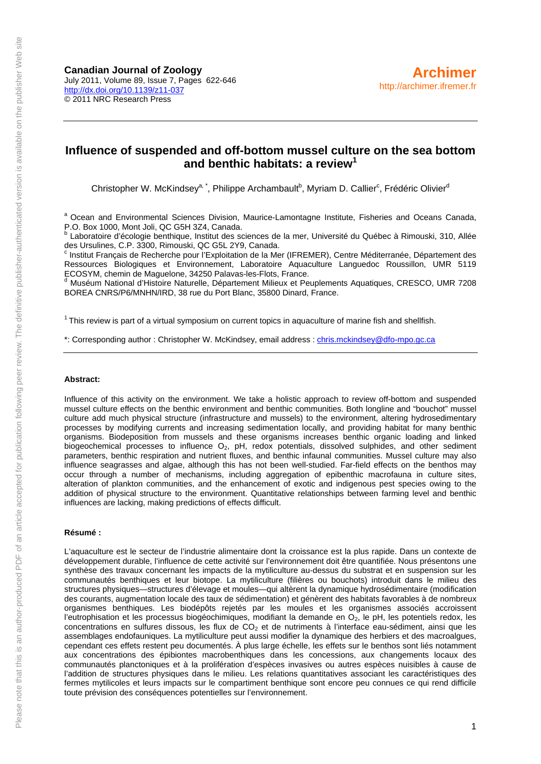### **Influence of suspended and off-bottom mussel culture on the sea bottom and benthic habitats: a review<sup>1</sup>**

Christopher W. McKindsey<sup>a, \*</sup>, Philippe Archambault<sup>b</sup>, Myriam D. Callier<sup>c</sup>, Frédéric Olivier<sup>d</sup>

<sup>a</sup> Ocean and Environmental Sciences Division, Maurice-Lamontagne Institute, Fisheries and Oceans Canada, P.O. Box 1000, Mont Joli, QC G5H 3Z4, Canada.

 Laboratoire d'écologie benthique, Institut des sciences de la mer, Université du Québec à Rimouski, 310, Allée des Ursulines, C.P. 3300, Rimouski, QC G5L 2Y9, Canada.

<sup>c</sup> Institut Français de Recherche pour l'Exploitation de la Mer (IFREMER), Centre Méditerranée, Département des Ressources Biologiques et Environnement, Laboratoire Aquaculture Languedoc Roussillon, UMR 5119 ECOSYM, chemin de Maguelone, 34250 Palavas-les-Flots, France.

<sup>d</sup> Muséum National d'Histoire Naturelle, Département Milieux et Peuplements Aquatiques, CRESCO, UMR 7208 BOREA CNRS/P6/MNHN/IRD, 38 rue du Port Blanc, 35800 Dinard, France.

<sup>1</sup> This review is part of a virtual symposium on current topics in aquaculture of marine fish and shellfish.

\*: Corresponding author : Christopher W. McKindsey, email address : [chris.mckindsey@dfo-mpo.gc.ca](mailto:chris.mckindsey@dfo-mpo.gc.ca)

#### **Abstract:**

Influence of this activity on the environment. We take a holistic approach to review off-bottom and suspended mussel culture effects on the benthic environment and benthic communities. Both longline and "bouchot" mussel culture add much physical structure (infrastructure and mussels) to the environment, altering hydrosedimentary processes by modifying currents and increasing sedimentation locally, and providing habitat for many benthic organisms. Biodeposition from mussels and these organisms increases benthic organic loading and linked biogeochemical processes to influence O<sub>2</sub>, pH, redox potentials, dissolved sulphides, and other sediment parameters, benthic respiration and nutrient fluxes, and benthic infaunal communities. Mussel culture may also influence seagrasses and algae, although this has not been well-studied. Far-field effects on the benthos may occur through a number of mechanisms, including aggregation of epibenthic macrofauna in culture sites, alteration of plankton communities, and the enhancement of exotic and indigenous pest species owing to the addition of physical structure to the environment. Quantitative relationships between farming level and benthic influences are lacking, making predictions of effects difficult.

#### **Résumé :**

L'aquaculture est le secteur de l'industrie alimentaire dont la croissance est la plus rapide. Dans un contexte de développement durable, l'influence de cette activité sur l'environnement doit être quantifiée. Nous présentons une synthèse des travaux concernant les impacts de la mytiliculture au-dessus du substrat et en suspension sur les communautés benthiques et leur biotope. La mytiliculture (filières ou bouchots) introduit dans le milieu des structures physiques—structures d'élevage et moules—qui altèrent la dynamique hydrosédimentaire (modification des courants, augmentation locale des taux de sédimentation) et génèrent des habitats favorables à de nombreux organismes benthiques. Les biodépôts rejetés par les moules et les organismes associés accroissent l'eutrophisation et les processus biogéochimiques, modifiant la demande en O2, le pH, les potentiels redox, les concentrations en sulfures dissous, les flux de CO<sub>2</sub> et de nutriments à l'interface eau-sédiment, ainsi que les assemblages endofauniques. La mytiliculture peut aussi modifier la dynamique des herbiers et des macroalgues, cependant ces effets restent peu documentés. À plus large échelle, les effets sur le benthos sont liés notamment aux concentrations des épibiontes macrobenthiques dans les concessions, aux changements locaux des communautés planctoniques et à la prolifération d'espèces invasives ou autres espèces nuisibles à cause de l'addition de structures physiques dans le milieu. Les relations quantitatives associant les caractéristiques des fermes mytilicoles et leurs impacts sur le compartiment benthique sont encore peu connues ce qui rend difficile toute prévision des conséquences potentielles sur l'environnement.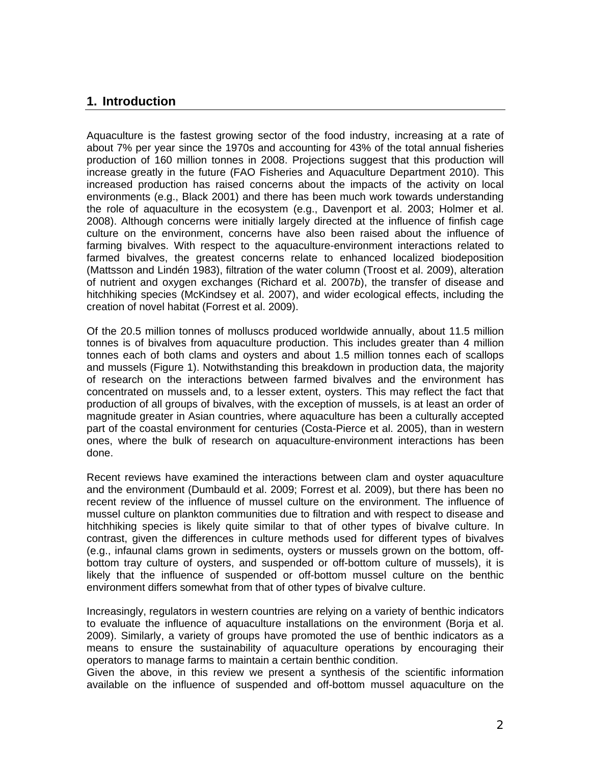### **1. Introduction**

Aquaculture is the fastest growing sector of the food industry, increasing at a rate of about 7% per year since the 1970s and accounting for 43% of the total annual fisheries production of 160 million tonnes in 2008. Projections suggest that this production will increase greatly in the future (FAO Fisheries and Aquaculture Department 2010). This increased production has raised concerns about the impacts of the activity on local environments (e.g., Black 2001) and there has been much work towards understanding the role of aquaculture in the ecosystem (e.g., Davenport et al. 2003; Holmer et al. 2008). Although concerns were initially largely directed at the influence of finfish cage culture on the environment, concerns have also been raised about the influence of farming bivalves. With respect to the aquaculture-environment interactions related to farmed bivalves, the greatest concerns relate to enhanced localized biodeposition (Mattsson and Lindén 1983), filtration of the water column (Troost et al. 2009), alteration of nutrient and oxygen exchanges (Richard et al. 2007*b*), the transfer of disease and hitchhiking species (McKindsey et al. 2007), and wider ecological effects, including the creation of novel habitat (Forrest et al. 2009).

Of the 20.5 million tonnes of molluscs produced worldwide annually, about 11.5 million tonnes is of bivalves from aquaculture production. This includes greater than 4 million tonnes each of both clams and oysters and about 1.5 million tonnes each of scallops and mussels (Figure 1). Notwithstanding this breakdown in production data, the majority of research on the interactions between farmed bivalves and the environment has concentrated on mussels and, to a lesser extent, oysters. This may reflect the fact that production of all groups of bivalves, with the exception of mussels, is at least an order of magnitude greater in Asian countries, where aquaculture has been a culturally accepted part of the coastal environment for centuries (Costa-Pierce et al. 2005), than in western ones, where the bulk of research on aquaculture-environment interactions has been done.

Recent reviews have examined the interactions between clam and oyster aquaculture and the environment (Dumbauld et al. 2009; Forrest et al. 2009), but there has been no recent review of the influence of mussel culture on the environment. The influence of mussel culture on plankton communities due to filtration and with respect to disease and hitchhiking species is likely quite similar to that of other types of bivalve culture. In contrast, given the differences in culture methods used for different types of bivalves (e.g., infaunal clams grown in sediments, oysters or mussels grown on the bottom, offbottom tray culture of oysters, and suspended or off-bottom culture of mussels), it is likely that the influence of suspended or off-bottom mussel culture on the benthic environment differs somewhat from that of other types of bivalve culture.

Increasingly, regulators in western countries are relying on a variety of benthic indicators to evaluate the influence of aquaculture installations on the environment (Borja et al. 2009). Similarly, a variety of groups have promoted the use of benthic indicators as a means to ensure the sustainability of aquaculture operations by encouraging their operators to manage farms to maintain a certain benthic condition.

Given the above, in this review we present a synthesis of the scientific information available on the influence of suspended and off-bottom mussel aquaculture on the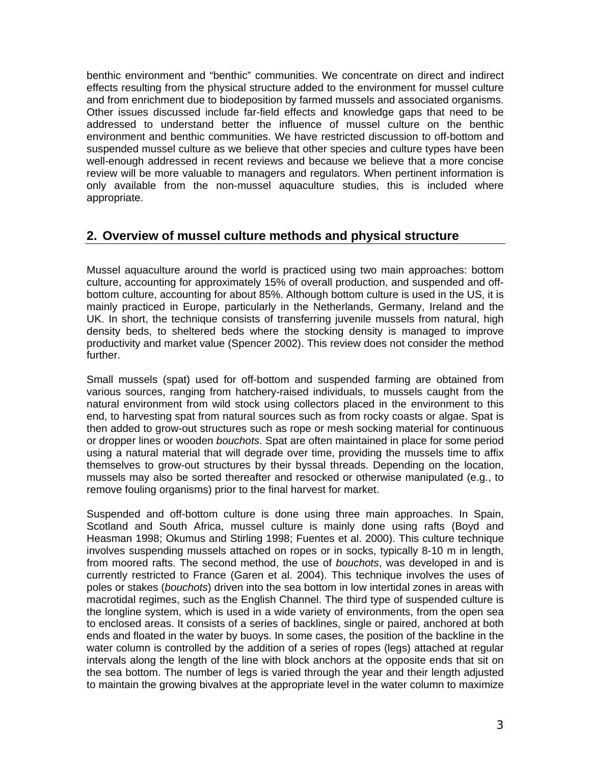benthic environment and "benthic" communities. We concentrate on direct and indirect effects resulting from the physical structure added to the environment for mussel culture and from enrichment due to biodeposition by farmed mussels and associated organisms. Other issues discussed include far-field effects and knowledge gaps that need to be addressed to understand better the influence of mussel culture on the benthic environment and benthic communities. We have restricted discussion to off-bottom and suspended mussel culture as we believe that other species and culture types have been well-enough addressed in recent reviews and because we believe that a more concise review will be more valuable to managers and regulators. When pertinent information is only available from the non-mussel aquaculture studies, this is included where appropriate.

### **2. Overview of mussel culture methods and physical structure**

Mussel aquaculture around the world is practiced using two main approaches: bottom culture, accounting for approximately 15% of overall production, and suspended and offbottom culture, accounting for about 85%. Although bottom culture is used in the US, it is mainly practiced in Europe, particularly in the Netherlands, Germany, Ireland and the UK. In short, the technique consists of transferring juvenile mussels from natural, high density beds, to sheltered beds where the stocking density is managed to improve productivity and market value (Spencer 2002). This review does not consider the method further.

Small mussels (spat) used for off-bottom and suspended farming are obtained from various sources, ranging from hatchery-raised individuals, to mussels caught from the natural environment from wild stock using collectors placed in the environment to this end, to harvesting spat from natural sources such as from rocky coasts or algae. Spat is then added to grow-out structures such as rope or mesh socking material for continuous or dropper lines or wooden *bouchots*. Spat are often maintained in place for some period using a natural material that will degrade over time, providing the mussels time to affix themselves to grow-out structures by their byssal threads. Depending on the location, mussels may also be sorted thereafter and resocked or otherwise manipulated (e.g., to remove fouling organisms) prior to the final harvest for market.

Suspended and off-bottom culture is done using three main approaches. In Spain, Scotland and South Africa, mussel culture is mainly done using rafts (Boyd and Heasman 1998; Okumus and Stirling 1998; Fuentes et al. 2000). This culture technique involves suspending mussels attached on ropes or in socks, typically 8-10 m in length, from moored rafts. The second method, the use of *bouchots*, was developed in and is currently restricted to France (Garen et al. 2004). This technique involves the uses of poles or stakes (*bouchots*) driven into the sea bottom in low intertidal zones in areas with macrotidal regimes, such as the English Channel. The third type of suspended culture is the longline system, which is used in a wide variety of environments, from the open sea to enclosed areas. It consists of a series of backlines, single or paired, anchored at both ends and floated in the water by buoys. In some cases, the position of the backline in the water column is controlled by the addition of a series of ropes (legs) attached at regular intervals along the length of the line with block anchors at the opposite ends that sit on the sea bottom. The number of legs is varied through the year and their length adjusted to maintain the growing bivalves at the appropriate level in the water column to maximize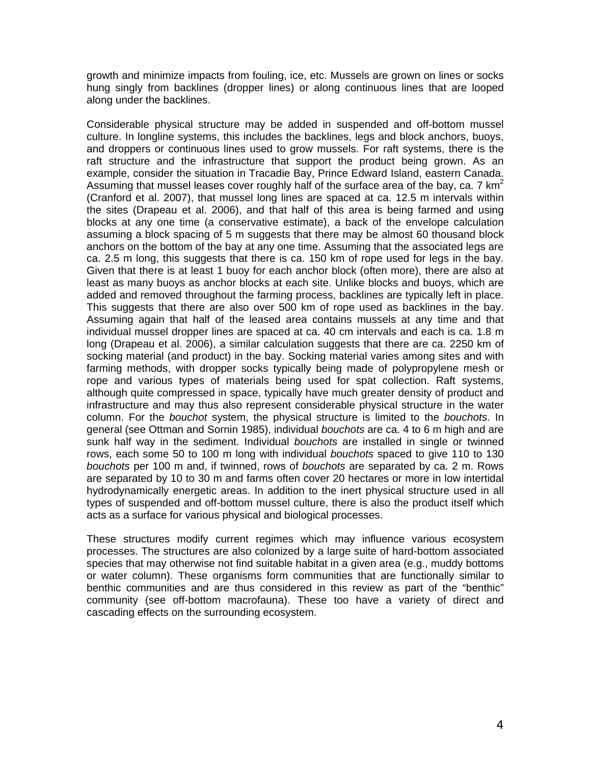growth and minimize impacts from fouling, ice, etc. Mussels are grown on lines or socks hung singly from backlines (dropper lines) or along continuous lines that are looped along under the backlines.

Considerable physical structure may be added in suspended and off-bottom mussel culture. In longline systems, this includes the backlines, legs and block anchors, buoys, and droppers or continuous lines used to grow mussels. For raft systems, there is the raft structure and the infrastructure that support the product being grown. As an example, consider the situation in Tracadie Bay, Prince Edward Island, eastern Canada. Assuming that mussel leases cover roughly half of the surface area of the bay, ca. 7 km<sup>2</sup> (Cranford et al. 2007), that mussel long lines are spaced at ca. 12.5 m intervals within the sites (Drapeau et al. 2006), and that half of this area is being farmed and using blocks at any one time (a conservative estimate), a back of the envelope calculation assuming a block spacing of 5 m suggests that there may be almost 60 thousand block anchors on the bottom of the bay at any one time. Assuming that the associated legs are ca. 2.5 m long, this suggests that there is ca. 150 km of rope used for legs in the bay. Given that there is at least 1 buoy for each anchor block (often more), there are also at least as many buoys as anchor blocks at each site. Unlike blocks and buoys, which are added and removed throughout the farming process, backlines are typically left in place. This suggests that there are also over 500 km of rope used as backlines in the bay. Assuming again that half of the leased area contains mussels at any time and that individual mussel dropper lines are spaced at ca. 40 cm intervals and each is ca. 1.8 m long (Drapeau et al. 2006), a similar calculation suggests that there are ca. 2250 km of socking material (and product) in the bay. Socking material varies among sites and with farming methods, with dropper socks typically being made of polypropylene mesh or rope and various types of materials being used for spat collection. Raft systems, although quite compressed in space, typically have much greater density of product and infrastructure and may thus also represent considerable physical structure in the water column. For the *bouchot* system, the physical structure is limited to the *bouchots*. In general (see Ottman and Sornin 1985), individual *bouchots* are ca. 4 to 6 m high and are sunk half way in the sediment. Individual *bouchots* are installed in single or twinned rows, each some 50 to 100 m long with individual *bouchots* spaced to give 110 to 130 *bouchots* per 100 m and, if twinned, rows of *bouchots* are separated by ca. 2 m. Rows are separated by 10 to 30 m and farms often cover 20 hectares or more in low intertidal hydrodynamically energetic areas. In addition to the inert physical structure used in all types of suspended and off-bottom mussel culture, there is also the product itself which acts as a surface for various physical and biological processes.

These structures modify current regimes which may influence various ecosystem processes. The structures are also colonized by a large suite of hard-bottom associated species that may otherwise not find suitable habitat in a given area (e.g., muddy bottoms or water column). These organisms form communities that are functionally similar to benthic communities and are thus considered in this review as part of the "benthic" community (see off-bottom macrofauna). These too have a variety of direct and cascading effects on the surrounding ecosystem.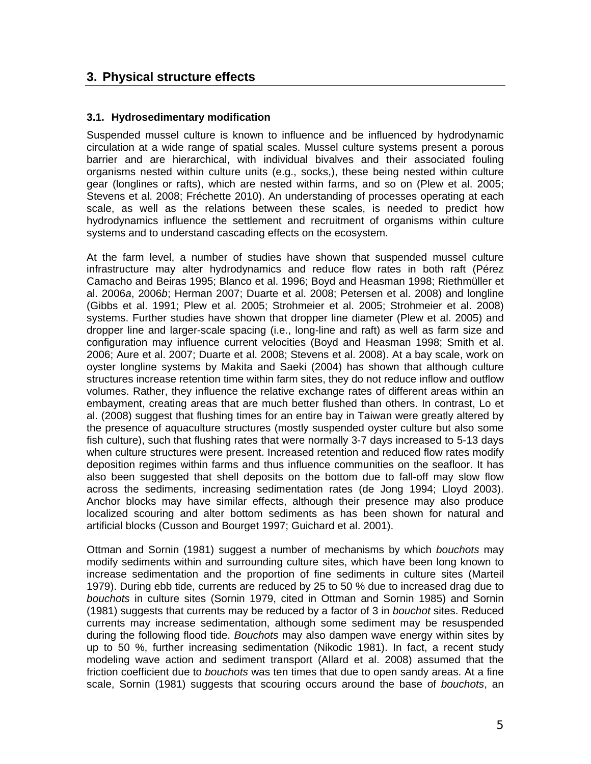## **3. Physical structure effects**

#### **3.1. Hydrosedimentary modification**

Suspended mussel culture is known to influence and be influenced by hydrodynamic circulation at a wide range of spatial scales. Mussel culture systems present a porous barrier and are hierarchical, with individual bivalves and their associated fouling organisms nested within culture units (e.g., socks,), these being nested within culture gear (longlines or rafts), which are nested within farms, and so on (Plew et al. 2005; Stevens et al. 2008; Fréchette 2010). An understanding of processes operating at each scale, as well as the relations between these scales, is needed to predict how hydrodynamics influence the settlement and recruitment of organisms within culture systems and to understand cascading effects on the ecosystem.

At the farm level, a number of studies have shown that suspended mussel culture infrastructure may alter hydrodynamics and reduce flow rates in both raft (Pérez Camacho and Beiras 1995; Blanco et al. 1996; Boyd and Heasman 1998; Riethmüller et al. 2006*a*, 2006*b*; Herman 2007; Duarte et al. 2008; Petersen et al. 2008) and longline (Gibbs et al. 1991; Plew et al. 2005; Strohmeier et al. 2005; Strohmeier et al. 2008) systems. Further studies have shown that dropper line diameter (Plew et al. 2005) and dropper line and larger-scale spacing (i.e., long-line and raft) as well as farm size and configuration may influence current velocities (Boyd and Heasman 1998; Smith et al. 2006; Aure et al. 2007; Duarte et al. 2008; Stevens et al. 2008). At a bay scale, work on oyster longline systems by Makita and Saeki (2004) has shown that although culture structures increase retention time within farm sites, they do not reduce inflow and outflow volumes. Rather, they influence the relative exchange rates of different areas within an embayment, creating areas that are much better flushed than others. In contrast, Lo et al. (2008) suggest that flushing times for an entire bay in Taiwan were greatly altered by the presence of aquaculture structures (mostly suspended oyster culture but also some fish culture), such that flushing rates that were normally 3-7 days increased to 5-13 days when culture structures were present. Increased retention and reduced flow rates modify deposition regimes within farms and thus influence communities on the seafloor. It has also been suggested that shell deposits on the bottom due to fall-off may slow flow across the sediments, increasing sedimentation rates (de Jong 1994; Lloyd 2003). Anchor blocks may have similar effects, although their presence may also produce localized scouring and alter bottom sediments as has been shown for natural and artificial blocks (Cusson and Bourget 1997; Guichard et al. 2001).

Ottman and Sornin (1981) suggest a number of mechanisms by which *bouchots* may modify sediments within and surrounding culture sites, which have been long known to increase sedimentation and the proportion of fine sediments in culture sites (Marteil 1979). During ebb tide, currents are reduced by 25 to 50 % due to increased drag due to *bouchots* in culture sites (Sornin 1979, cited in Ottman and Sornin 1985) and Sornin (1981) suggests that currents may be reduced by a factor of 3 in *bouchot* sites. Reduced currents may increase sedimentation, although some sediment may be resuspended during the following flood tide. *Bouchots* may also dampen wave energy within sites by up to 50 %, further increasing sedimentation (Nikodic 1981). In fact, a recent study modeling wave action and sediment transport (Allard et al. 2008) assumed that the friction coefficient due to *bouchots* was ten times that due to open sandy areas. At a fine scale, Sornin (1981) suggests that scouring occurs around the base of *bouchots*, an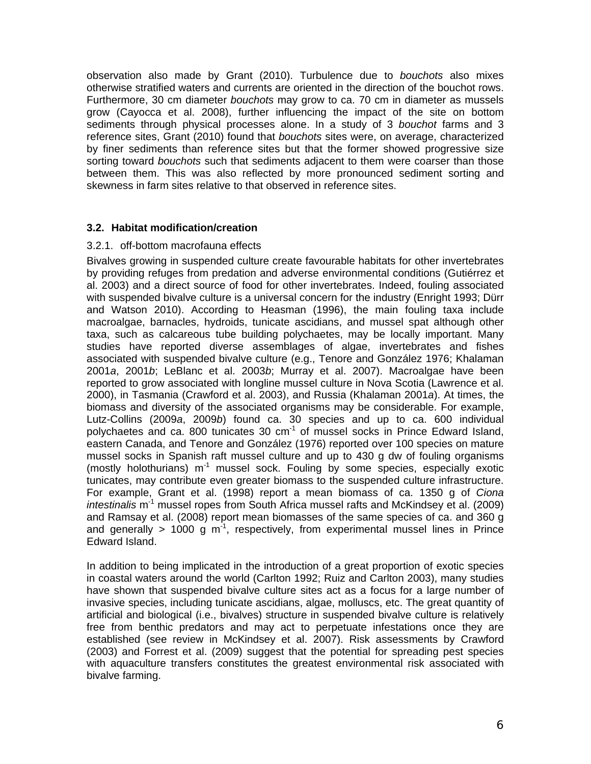observation also made by Grant (2010). Turbulence due to *bouchots* also mixes otherwise stratified waters and currents are oriented in the direction of the bouchot rows. Furthermore, 30 cm diameter *bouchots* may grow to ca. 70 cm in diameter as mussels grow (Cayocca et al. 2008), further influencing the impact of the site on bottom sediments through physical processes alone. In a study of 3 *bouchot* farms and 3 reference sites, Grant (2010) found that *bouchots* sites were, on average, characterized by finer sediments than reference sites but that the former showed progressive size sorting toward *bouchots* such that sediments adjacent to them were coarser than those between them. This was also reflected by more pronounced sediment sorting and skewness in farm sites relative to that observed in reference sites.

#### **3.2. Habitat modification/creation**

#### 3.2.1. off-bottom macrofauna effects

Bivalves growing in suspended culture create favourable habitats for other invertebrates by providing refuges from predation and adverse environmental conditions (Gutiérrez et al. 2003) and a direct source of food for other invertebrates. Indeed, fouling associated with suspended bivalve culture is a universal concern for the industry (Enright 1993; Dürr and Watson 2010). According to Heasman (1996), the main fouling taxa include macroalgae, barnacles, hydroids, tunicate ascidians, and mussel spat although other taxa, such as calcareous tube building polychaetes, may be locally important. Many studies have reported diverse assemblages of algae, invertebrates and fishes associated with suspended bivalve culture (e.g., Tenore and González 1976; Khalaman 2001*a*, 2001*b*; LeBlanc et al. 2003*b*; Murray et al. 2007). Macroalgae have been reported to grow associated with longline mussel culture in Nova Scotia (Lawrence et al. 2000), in Tasmania (Crawford et al. 2003), and Russia (Khalaman 2001*a*). At times, the biomass and diversity of the associated organisms may be considerable. For example, Lutz-Collins (2009*a*, 2009*b*) found ca. 30 species and up to ca. 600 individual polychaetes and ca. 800 tunicates 30  $cm^{-1}$  of mussel socks in Prince Edward Island, eastern Canada, and Tenore and González (1976) reported over 100 species on mature mussel socks in Spanish raft mussel culture and up to 430 g dw of fouling organisms (mostly holothurians)  $m<sup>-1</sup>$  mussel sock. Fouling by some species, especially exotic tunicates, may contribute even greater biomass to the suspended culture infrastructure. For example, Grant et al. (1998) report a mean biomass of ca. 1350 g of *Ciona intestinalis* m-1 mussel ropes from South Africa mussel rafts and McKindsey et al. (2009) and Ramsay et al. (2008) report mean biomasses of the same species of ca. and 360 g and generally  $> 1000$  g m<sup>-1</sup>, respectively, from experimental mussel lines in Prince Edward Island.

In addition to being implicated in the introduction of a great proportion of exotic species in coastal waters around the world (Carlton 1992; Ruiz and Carlton 2003), many studies have shown that suspended bivalve culture sites act as a focus for a large number of invasive species, including tunicate ascidians, algae, molluscs, etc. The great quantity of artificial and biological (i.e., bivalves) structure in suspended bivalve culture is relatively free from benthic predators and may act to perpetuate infestations once they are established (see review in McKindsey et al. 2007). Risk assessments by Crawford (2003) and Forrest et al. (2009) suggest that the potential for spreading pest species with aquaculture transfers constitutes the greatest environmental risk associated with bivalve farming.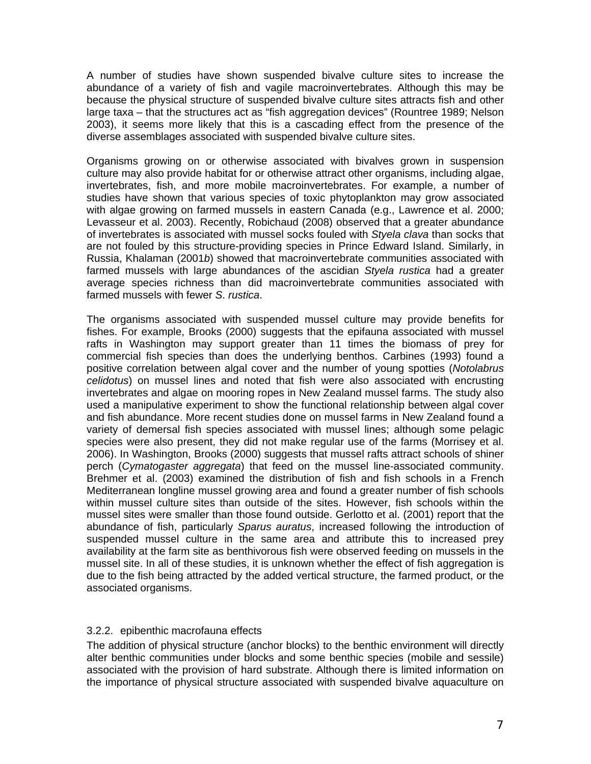A number of studies have shown suspended bivalve culture sites to increase the abundance of a variety of fish and vagile macroinvertebrates. Although this may be because the physical structure of suspended bivalve culture sites attracts fish and other large taxa – that the structures act as "fish aggregation devices" (Rountree 1989; Nelson 2003), it seems more likely that this is a cascading effect from the presence of the diverse assemblages associated with suspended bivalve culture sites.

Organisms growing on or otherwise associated with bivalves grown in suspension culture may also provide habitat for or otherwise attract other organisms, including algae, invertebrates, fish, and more mobile macroinvertebrates. For example, a number of studies have shown that various species of toxic phytoplankton may grow associated with algae growing on farmed mussels in eastern Canada (e.g., Lawrence et al. 2000; Levasseur et al. 2003). Recently, Robichaud (2008) observed that a greater abundance of invertebrates is associated with mussel socks fouled with *Styela clava* than socks that are not fouled by this structure-providing species in Prince Edward Island. Similarly, in Russia, Khalaman (2001*b*) showed that macroinvertebrate communities associated with farmed mussels with large abundances of the ascidian *Styela rustica* had a greater average species richness than did macroinvertebrate communities associated with farmed mussels with fewer *S*. *rustica*.

The organisms associated with suspended mussel culture may provide benefits for fishes. For example, Brooks (2000) suggests that the epifauna associated with mussel rafts in Washington may support greater than 11 times the biomass of prey for commercial fish species than does the underlying benthos. Carbines (1993) found a positive correlation between algal cover and the number of young spotties (*Notolabrus celidotus*) on mussel lines and noted that fish were also associated with encrusting invertebrates and algae on mooring ropes in New Zealand mussel farms. The study also used a manipulative experiment to show the functional relationship between algal cover and fish abundance. More recent studies done on mussel farms in New Zealand found a variety of demersal fish species associated with mussel lines; although some pelagic species were also present, they did not make regular use of the farms (Morrisey et al. 2006). In Washington, Brooks (2000) suggests that mussel rafts attract schools of shiner perch (*Cymatogaster aggregata*) that feed on the mussel line-associated community. Brehmer et al. (2003) examined the distribution of fish and fish schools in a French Mediterranean longline mussel growing area and found a greater number of fish schools within mussel culture sites than outside of the sites. However, fish schools within the mussel sites were smaller than those found outside. Gerlotto et al. (2001) report that the abundance of fish, particularly *Sparus auratus*, increased following the introduction of suspended mussel culture in the same area and attribute this to increased prey availability at the farm site as benthivorous fish were observed feeding on mussels in the mussel site. In all of these studies, it is unknown whether the effect of fish aggregation is due to the fish being attracted by the added vertical structure, the farmed product, or the associated organisms.

#### 3.2.2. epibenthic macrofauna effects

The addition of physical structure (anchor blocks) to the benthic environment will directly alter benthic communities under blocks and some benthic species (mobile and sessile) associated with the provision of hard substrate. Although there is limited information on the importance of physical structure associated with suspended bivalve aquaculture on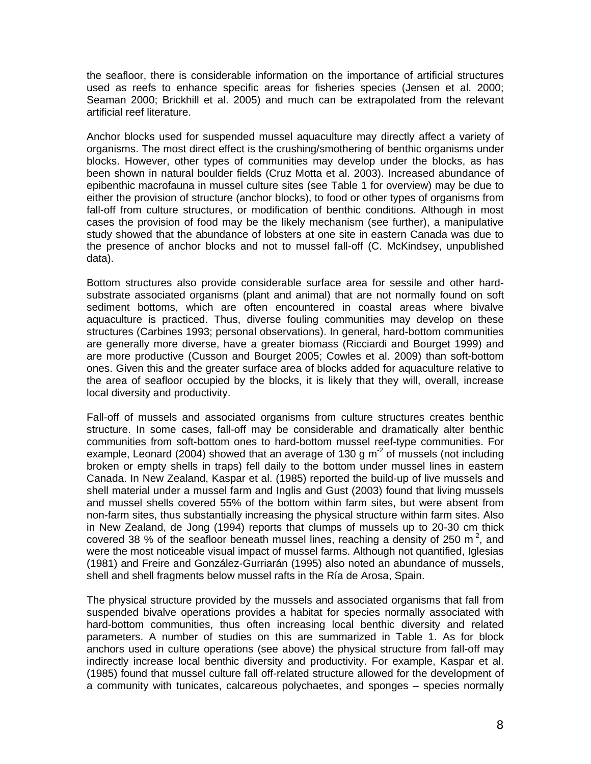the seafloor, there is considerable information on the importance of artificial structures used as reefs to enhance specific areas for fisheries species (Jensen et al. 2000; Seaman 2000; Brickhill et al. 2005) and much can be extrapolated from the relevant artificial reef literature.

Anchor blocks used for suspended mussel aquaculture may directly affect a variety of organisms. The most direct effect is the crushing/smothering of benthic organisms under blocks. However, other types of communities may develop under the blocks, as has been shown in natural boulder fields (Cruz Motta et al. 2003). Increased abundance of epibenthic macrofauna in mussel culture sites (see Table 1 for overview) may be due to either the provision of structure (anchor blocks), to food or other types of organisms from fall-off from culture structures, or modification of benthic conditions. Although in most cases the provision of food may be the likely mechanism (see further), a manipulative study showed that the abundance of lobsters at one site in eastern Canada was due to the presence of anchor blocks and not to mussel fall-off (C. McKindsey, unpublished data).

Bottom structures also provide considerable surface area for sessile and other hardsubstrate associated organisms (plant and animal) that are not normally found on soft sediment bottoms, which are often encountered in coastal areas where bivalve aquaculture is practiced. Thus, diverse fouling communities may develop on these structures (Carbines 1993; personal observations). In general, hard-bottom communities are generally more diverse, have a greater biomass (Ricciardi and Bourget 1999) and are more productive (Cusson and Bourget 2005; Cowles et al. 2009) than soft-bottom ones. Given this and the greater surface area of blocks added for aquaculture relative to the area of seafloor occupied by the blocks, it is likely that they will, overall, increase local diversity and productivity.

Fall-off of mussels and associated organisms from culture structures creates benthic structure. In some cases, fall-off may be considerable and dramatically alter benthic communities from soft-bottom ones to hard-bottom mussel reef-type communities. For example, Leonard (2004) showed that an average of 130 g  $m<sup>2</sup>$  of mussels (not including broken or empty shells in traps) fell daily to the bottom under mussel lines in eastern Canada. In New Zealand, Kaspar et al. (1985) reported the build-up of live mussels and shell material under a mussel farm and Inglis and Gust (2003) found that living mussels and mussel shells covered 55% of the bottom within farm sites, but were absent from non-farm sites, thus substantially increasing the physical structure within farm sites. Also in New Zealand, de Jong (1994) reports that clumps of mussels up to 20-30 cm thick covered 38 % of the seafloor beneath mussel lines, reaching a density of 250  $\text{m}^2$ , and were the most noticeable visual impact of mussel farms. Although not quantified, Iglesias (1981) and Freire and González-Gurriarán (1995) also noted an abundance of mussels, shell and shell fragments below mussel rafts in the Ría de Arosa, Spain.

The physical structure provided by the mussels and associated organisms that fall from suspended bivalve operations provides a habitat for species normally associated with hard-bottom communities, thus often increasing local benthic diversity and related parameters. A number of studies on this are summarized in Table 1. As for block anchors used in culture operations (see above) the physical structure from fall-off may indirectly increase local benthic diversity and productivity. For example, Kaspar et al. (1985) found that mussel culture fall off-related structure allowed for the development of a community with tunicates, calcareous polychaetes, and sponges – species normally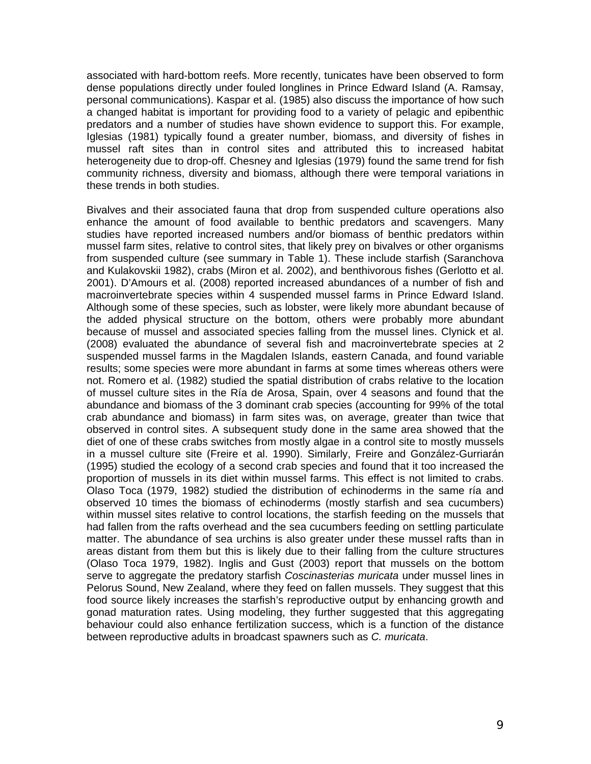associated with hard-bottom reefs. More recently, tunicates have been observed to form dense populations directly under fouled longlines in Prince Edward Island (A. Ramsay, personal communications). Kaspar et al. (1985) also discuss the importance of how such a changed habitat is important for providing food to a variety of pelagic and epibenthic predators and a number of studies have shown evidence to support this. For example, Iglesias (1981) typically found a greater number, biomass, and diversity of fishes in mussel raft sites than in control sites and attributed this to increased habitat heterogeneity due to drop-off. Chesney and Iglesias (1979) found the same trend for fish community richness, diversity and biomass, although there were temporal variations in these trends in both studies.

Bivalves and their associated fauna that drop from suspended culture operations also enhance the amount of food available to benthic predators and scavengers. Many studies have reported increased numbers and/or biomass of benthic predators within mussel farm sites, relative to control sites, that likely prey on bivalves or other organisms from suspended culture (see summary in Table 1). These include starfish (Saranchova and Kulakovskii 1982), crabs (Miron et al. 2002), and benthivorous fishes (Gerlotto et al. 2001). D'Amours et al. (2008) reported increased abundances of a number of fish and macroinvertebrate species within 4 suspended mussel farms in Prince Edward Island. Although some of these species, such as lobster, were likely more abundant because of the added physical structure on the bottom, others were probably more abundant because of mussel and associated species falling from the mussel lines. Clynick et al. (2008) evaluated the abundance of several fish and macroinvertebrate species at 2 suspended mussel farms in the Magdalen Islands, eastern Canada, and found variable results; some species were more abundant in farms at some times whereas others were not. Romero et al. (1982) studied the spatial distribution of crabs relative to the location of mussel culture sites in the Ría de Arosa, Spain, over 4 seasons and found that the abundance and biomass of the 3 dominant crab species (accounting for 99% of the total crab abundance and biomass) in farm sites was, on average, greater than twice that observed in control sites. A subsequent study done in the same area showed that the diet of one of these crabs switches from mostly algae in a control site to mostly mussels in a mussel culture site (Freire et al. 1990). Similarly, Freire and González-Gurriarán (1995) studied the ecology of a second crab species and found that it too increased the proportion of mussels in its diet within mussel farms. This effect is not limited to crabs. Olaso Toca (1979, 1982) studied the distribution of echinoderms in the same ría and observed 10 times the biomass of echinoderms (mostly starfish and sea cucumbers) within mussel sites relative to control locations, the starfish feeding on the mussels that had fallen from the rafts overhead and the sea cucumbers feeding on settling particulate matter. The abundance of sea urchins is also greater under these mussel rafts than in areas distant from them but this is likely due to their falling from the culture structures (Olaso Toca 1979, 1982). Inglis and Gust (2003) report that mussels on the bottom serve to aggregate the predatory starfish *Coscinasterias muricata* under mussel lines in Pelorus Sound, New Zealand, where they feed on fallen mussels. They suggest that this food source likely increases the starfish's reproductive output by enhancing growth and gonad maturation rates. Using modeling, they further suggested that this aggregating behaviour could also enhance fertilization success, which is a function of the distance between reproductive adults in broadcast spawners such as *C. muricata*.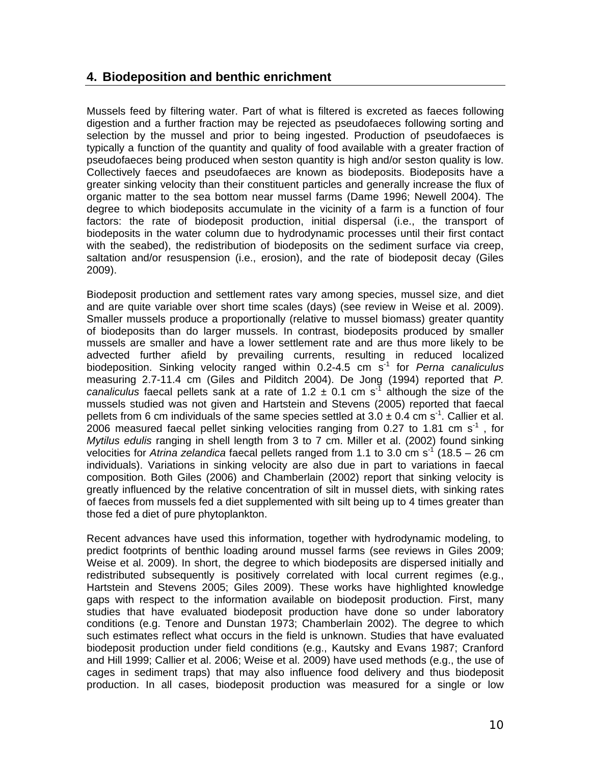### **4. Biodeposition and benthic enrichment**

Mussels feed by filtering water. Part of what is filtered is excreted as faeces following digestion and a further fraction may be rejected as pseudofaeces following sorting and selection by the mussel and prior to being ingested. Production of pseudofaeces is typically a function of the quantity and quality of food available with a greater fraction of pseudofaeces being produced when seston quantity is high and/or seston quality is low. Collectively faeces and pseudofaeces are known as biodeposits. Biodeposits have a greater sinking velocity than their constituent particles and generally increase the flux of organic matter to the sea bottom near mussel farms (Dame 1996; Newell 2004). The degree to which biodeposits accumulate in the vicinity of a farm is a function of four factors: the rate of biodeposit production, initial dispersal (i.e., the transport of biodeposits in the water column due to hydrodynamic processes until their first contact with the seabed), the redistribution of biodeposits on the sediment surface via creep, saltation and/or resuspension (i.e., erosion), and the rate of biodeposit decay (Giles 2009).

Biodeposit production and settlement rates vary among species, mussel size, and diet and are quite variable over short time scales (days) (see review in Weise et al. 2009). Smaller mussels produce a proportionally (relative to mussel biomass) greater quantity of biodeposits than do larger mussels. In contrast, biodeposits produced by smaller mussels are smaller and have a lower settlement rate and are thus more likely to be advected further afield by prevailing currents, resulting in reduced localized biodeposition. Sinking velocity ranged within 0.2-4.5 cm s-1 for *Perna canaliculus*  measuring 2.7-11.4 cm (Giles and Pilditch 2004). De Jong (1994) reported that *P. canaliculus* faecal pellets sank at a rate of 1.2  $\pm$  0.1 cm s<sup>-1</sup> although the size of the mussels studied was not given and Hartstein and Stevens (2005) reported that faecal pellets from 6 cm individuals of the same species settled at  $3.0 \pm 0.4$  cm s<sup>-1</sup>. Callier et al. 2006 measured faecal pellet sinking velocities ranging from 0.27 to 1.81 cm  $s<sup>-1</sup>$ , for *Mytilus edulis* ranging in shell length from 3 to 7 cm. Miller et al. (2002) found sinking velocities for *Atrina zelandica* faecal pellets ranged from 1.1 to 3.0 cm s<sup>-1</sup> (18.5 – 26 cm individuals). Variations in sinking velocity are also due in part to variations in faecal composition. Both Giles (2006) and Chamberlain (2002) report that sinking velocity is greatly influenced by the relative concentration of silt in mussel diets, with sinking rates of faeces from mussels fed a diet supplemented with silt being up to 4 times greater than those fed a diet of pure phytoplankton.

Recent advances have used this information, together with hydrodynamic modeling, to predict footprints of benthic loading around mussel farms (see reviews in Giles 2009; Weise et al. 2009). In short, the degree to which biodeposits are dispersed initially and redistributed subsequently is positively correlated with local current regimes (e.g., Hartstein and Stevens 2005; Giles 2009). These works have highlighted knowledge gaps with respect to the information available on biodeposit production. First, many studies that have evaluated biodeposit production have done so under laboratory conditions (e.g. Tenore and Dunstan 1973; Chamberlain 2002). The degree to which such estimates reflect what occurs in the field is unknown. Studies that have evaluated biodeposit production under field conditions (e.g., Kautsky and Evans 1987; Cranford and Hill 1999; Callier et al. 2006; Weise et al. 2009) have used methods (e.g., the use of cages in sediment traps) that may also influence food delivery and thus biodeposit production. In all cases, biodeposit production was measured for a single or low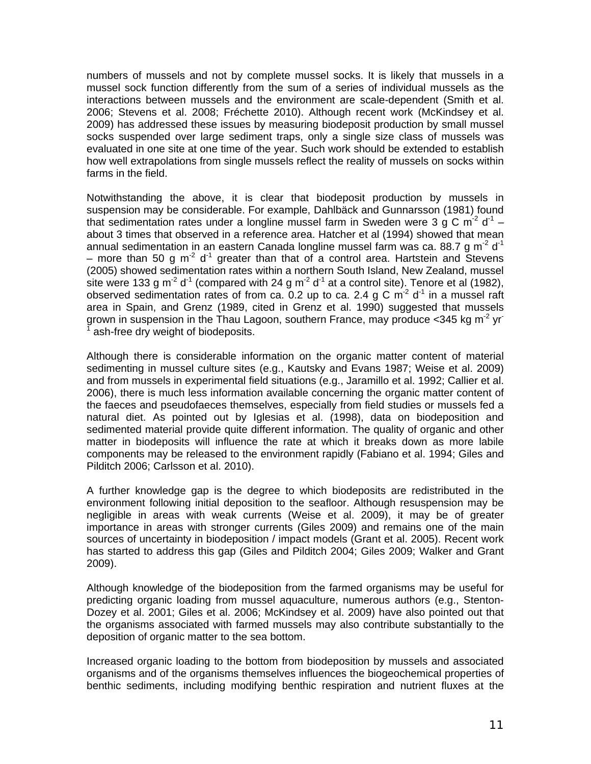numbers of mussels and not by complete mussel socks. It is likely that mussels in a mussel sock function differently from the sum of a series of individual mussels as the interactions between mussels and the environment are scale-dependent (Smith et al. 2006; Stevens et al. 2008; Fréchette 2010). Although recent work (McKindsey et al. 2009) has addressed these issues by measuring biodeposit production by small mussel socks suspended over large sediment traps, only a single size class of mussels was evaluated in one site at one time of the year. Such work should be extended to establish how well extrapolations from single mussels reflect the reality of mussels on socks within farms in the field.

Notwithstanding the above, it is clear that biodeposit production by mussels in suspension may be considerable. For example, Dahlbäck and Gunnarsson (1981) found that sedimentation rates under a longline mussel farm in Sweden were 3 g C m<sup>-2</sup> d<sup>-1</sup> – about 3 times that observed in a reference area. Hatcher et al (1994) showed that mean annual sedimentation in an eastern Canada longline mussel farm was ca. 88.7 g m<sup>-2</sup> d<sup>-1</sup> – more than 50 g m<sup>-2</sup> d<sup>-1</sup> greater than that of a control area. Hartstein and Stevens (2005) showed sedimentation rates within a northern South Island, New Zealand, mussel site were 133 g m<sup>-2</sup> d<sup>-1</sup> (compared with 24 g m<sup>-2</sup> d<sup>-1</sup> at a control site). Tenore et al (1982), observed sedimentation rates of from ca. 0.2 up to ca. 2.4 g C  $m^2$  d<sup>-1</sup> in a mussel raft area in Spain, and Grenz (1989, cited in Grenz et al. 1990) suggested that mussels grown in suspension in the Thau Lagoon, southern France, may produce  $\langle 345 \text{ kg m}^2 \rangle$  yr 1 ash-free dry weight of biodeposits.

Although there is considerable information on the organic matter content of material sedimenting in mussel culture sites (e.g., Kautsky and Evans 1987; Weise et al. 2009) and from mussels in experimental field situations (e.g., Jaramillo et al. 1992; Callier et al. 2006), there is much less information available concerning the organic matter content of the faeces and pseudofaeces themselves, especially from field studies or mussels fed a natural diet. As pointed out by Iglesias et al. (1998), data on biodeposition and sedimented material provide quite different information. The quality of organic and other matter in biodeposits will influence the rate at which it breaks down as more labile components may be released to the environment rapidly (Fabiano et al. 1994; Giles and Pilditch 2006; Carlsson et al. 2010).

A further knowledge gap is the degree to which biodeposits are redistributed in the environment following initial deposition to the seafloor. Although resuspension may be negligible in areas with weak currents (Weise et al. 2009), it may be of greater importance in areas with stronger currents (Giles 2009) and remains one of the main sources of uncertainty in biodeposition / impact models (Grant et al. 2005). Recent work has started to address this gap (Giles and Pilditch 2004; Giles 2009; Walker and Grant 2009).

Although knowledge of the biodeposition from the farmed organisms may be useful for predicting organic loading from mussel aquaculture, numerous authors (e.g., Stenton-Dozey et al. 2001; Giles et al. 2006; McKindsey et al. 2009) have also pointed out that the organisms associated with farmed mussels may also contribute substantially to the deposition of organic matter to the sea bottom.

Increased organic loading to the bottom from biodeposition by mussels and associated organisms and of the organisms themselves influences the biogeochemical properties of benthic sediments, including modifying benthic respiration and nutrient fluxes at the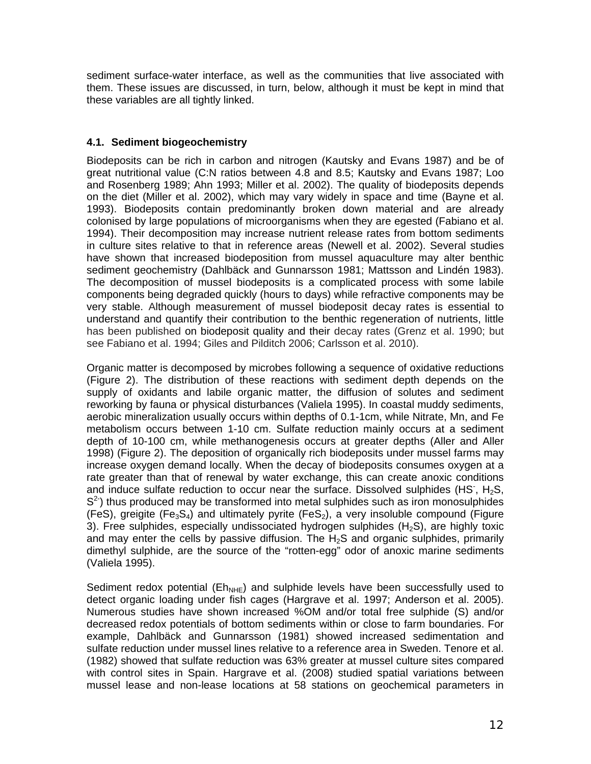sediment surface-water interface, as well as the communities that live associated with them. These issues are discussed, in turn, below, although it must be kept in mind that these variables are all tightly linked.

#### **4.1. Sediment biogeochemistry**

Biodeposits can be rich in carbon and nitrogen (Kautsky and Evans 1987) and be of great nutritional value (C:N ratios between 4.8 and 8.5; Kautsky and Evans 1987; Loo and Rosenberg 1989; Ahn 1993; Miller et al. 2002). The quality of biodeposits depends on the diet (Miller et al. 2002), which may vary widely in space and time (Bayne et al. 1993). Biodeposits contain predominantly broken down material and are already colonised by large populations of microorganisms when they are egested (Fabiano et al. 1994). Their decomposition may increase nutrient release rates from bottom sediments in culture sites relative to that in reference areas (Newell et al. 2002). Several studies have shown that increased biodeposition from mussel aquaculture may alter benthic sediment geochemistry (Dahlbäck and Gunnarsson 1981; Mattsson and Lindén 1983). The decomposition of mussel biodeposits is a complicated process with some labile components being degraded quickly (hours to days) while refractive components may be very stable. Although measurement of mussel biodeposit decay rates is essential to understand and quantify their contribution to the benthic regeneration of nutrients, little has been published on biodeposit quality and their decay rates (Grenz et al. 1990; but see Fabiano et al. 1994; Giles and Pilditch 2006; Carlsson et al. 2010).

Organic matter is decomposed by microbes following a sequence of oxidative reductions (Figure 2). The distribution of these reactions with sediment depth depends on the supply of oxidants and labile organic matter, the diffusion of solutes and sediment reworking by fauna or physical disturbances (Valiela 1995). In coastal muddy sediments, aerobic mineralization usually occurs within depths of 0.1-1cm, while Nitrate, Mn, and Fe metabolism occurs between 1-10 cm. Sulfate reduction mainly occurs at a sediment depth of 10-100 cm, while methanogenesis occurs at greater depths (Aller and Aller 1998) (Figure 2). The deposition of organically rich biodeposits under mussel farms may increase oxygen demand locally. When the decay of biodeposits consumes oxygen at a rate greater than that of renewal by water exchange, this can create anoxic conditions and induce sulfate reduction to occur near the surface. Dissolved sulphides (HS,  $H_2S$ ,  $S<sup>2</sup>$ ) thus produced may be transformed into metal sulphides such as iron monosulphides (FeS), greigite (Fe<sub>3</sub>S<sub>4</sub>) and ultimately pyrite (FeS<sub>2</sub>), a very insoluble compound (Figure 3). Free sulphides, especially undissociated hydrogen sulphides  $(H<sub>2</sub>S)$ , are highly toxic and may enter the cells by passive diffusion. The  $H_2S$  and organic sulphides, primarily dimethyl sulphide, are the source of the "rotten-egg" odor of anoxic marine sediments (Valiela 1995).

Sediment redox potential ( $E_{NHE}$ ) and sulphide levels have been successfully used to detect organic loading under fish cages (Hargrave et al. 1997; Anderson et al. 2005). Numerous studies have shown increased %OM and/or total free sulphide (S) and/or decreased redox potentials of bottom sediments within or close to farm boundaries. For example, Dahlbäck and Gunnarsson (1981) showed increased sedimentation and sulfate reduction under mussel lines relative to a reference area in Sweden. Tenore et al. (1982) showed that sulfate reduction was 63% greater at mussel culture sites compared with control sites in Spain. Hargrave et al. (2008) studied spatial variations between mussel lease and non-lease locations at 58 stations on geochemical parameters in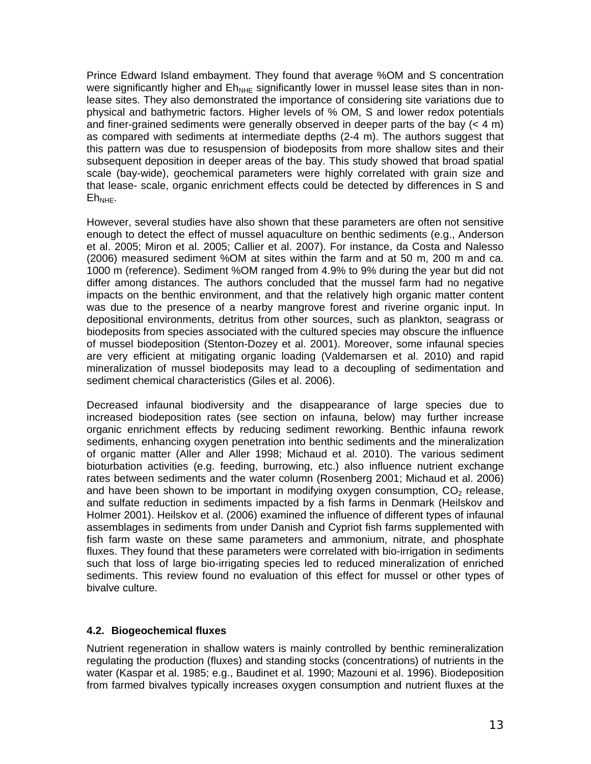Prince Edward Island embayment. They found that average %OM and S concentration were significantly higher and  $E_{NHE}$  significantly lower in mussel lease sites than in nonlease sites. They also demonstrated the importance of considering site variations due to physical and bathymetric factors. Higher levels of % OM, S and lower redox potentials and finer-grained sediments were generally observed in deeper parts of the bay  $(< 4 \text{ m})$ as compared with sediments at intermediate depths (2-4 m). The authors suggest that this pattern was due to resuspension of biodeposits from more shallow sites and their subsequent deposition in deeper areas of the bay. This study showed that broad spatial scale (bay-wide), geochemical parameters were highly correlated with grain size and that lease- scale, organic enrichment effects could be detected by differences in S and  $E$ <sub>NHE</sub>.

However, several studies have also shown that these parameters are often not sensitive enough to detect the effect of mussel aquaculture on benthic sediments (e.g., Anderson et al. 2005; Miron et al. 2005; Callier et al. 2007). For instance, da Costa and Nalesso (2006) measured sediment %OM at sites within the farm and at 50 m, 200 m and ca. 1000 m (reference). Sediment %OM ranged from 4.9% to 9% during the year but did not differ among distances. The authors concluded that the mussel farm had no negative impacts on the benthic environment, and that the relatively high organic matter content was due to the presence of a nearby mangrove forest and riverine organic input. In depositional environments, detritus from other sources, such as plankton, seagrass or biodeposits from species associated with the cultured species may obscure the influence of mussel biodeposition (Stenton-Dozey et al. 2001). Moreover, some infaunal species are very efficient at mitigating organic loading (Valdemarsen et al. 2010) and rapid mineralization of mussel biodeposits may lead to a decoupling of sedimentation and sediment chemical characteristics (Giles et al. 2006).

Decreased infaunal biodiversity and the disappearance of large species due to increased biodeposition rates (see section on infauna, below) may further increase organic enrichment effects by reducing sediment reworking. Benthic infauna rework sediments, enhancing oxygen penetration into benthic sediments and the mineralization of organic matter (Aller and Aller 1998; Michaud et al. 2010). The various sediment bioturbation activities (e.g. feeding, burrowing, etc.) also influence nutrient exchange rates between sediments and the water column (Rosenberg 2001; Michaud et al. 2006) and have been shown to be important in modifying oxygen consumption,  $CO<sub>2</sub>$  release, and sulfate reduction in sediments impacted by a fish farms in Denmark (Heilskov and Holmer 2001). Heilskov et al. (2006) examined the influence of different types of infaunal assemblages in sediments from under Danish and Cypriot fish farms supplemented with fish farm waste on these same parameters and ammonium, nitrate, and phosphate fluxes. They found that these parameters were correlated with bio-irrigation in sediments such that loss of large bio-irrigating species led to reduced mineralization of enriched sediments. This review found no evaluation of this effect for mussel or other types of bivalve culture.

#### **4.2. Biogeochemical fluxes**

Nutrient regeneration in shallow waters is mainly controlled by benthic remineralization regulating the production (fluxes) and standing stocks (concentrations) of nutrients in the water (Kaspar et al. 1985; e.g., Baudinet et al. 1990; Mazouni et al. 1996). Biodeposition from farmed bivalves typically increases oxygen consumption and nutrient fluxes at the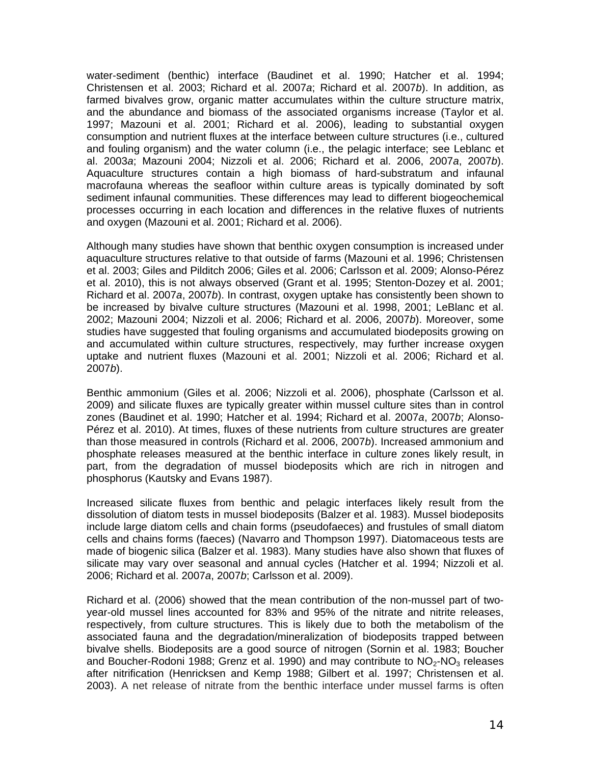water-sediment (benthic) interface (Baudinet et al. 1990; Hatcher et al. 1994; Christensen et al. 2003; Richard et al. 2007*a*; Richard et al. 2007*b*). In addition, as farmed bivalves grow, organic matter accumulates within the culture structure matrix, and the abundance and biomass of the associated organisms increase (Taylor et al. 1997; Mazouni et al. 2001; Richard et al. 2006), leading to substantial oxygen consumption and nutrient fluxes at the interface between culture structures (i.e., cultured and fouling organism) and the water column (i.e., the pelagic interface; see Leblanc et al. 2003*a*; Mazouni 2004; Nizzoli et al. 2006; Richard et al. 2006, 2007*a*, 2007*b*). Aquaculture structures contain a high biomass of hard-substratum and infaunal macrofauna whereas the seafloor within culture areas is typically dominated by soft sediment infaunal communities. These differences may lead to different biogeochemical processes occurring in each location and differences in the relative fluxes of nutrients and oxygen (Mazouni et al. 2001; Richard et al. 2006).

Although many studies have shown that benthic oxygen consumption is increased under aquaculture structures relative to that outside of farms (Mazouni et al. 1996; Christensen et al. 2003; Giles and Pilditch 2006; Giles et al. 2006; Carlsson et al. 2009; Alonso-Pérez et al. 2010), this is not always observed (Grant et al. 1995; Stenton-Dozey et al. 2001; Richard et al. 2007*a*, 2007*b*). In contrast, oxygen uptake has consistently been shown to be increased by bivalve culture structures (Mazouni et al. 1998, 2001; LeBlanc et al. 2002; Mazouni 2004; Nizzoli et al. 2006; Richard et al. 2006, 2007*b*). Moreover, some studies have suggested that fouling organisms and accumulated biodeposits growing on and accumulated within culture structures, respectively, may further increase oxygen uptake and nutrient fluxes (Mazouni et al. 2001; Nizzoli et al. 2006; Richard et al. 2007*b*).

Benthic ammonium (Giles et al. 2006; Nizzoli et al. 2006), phosphate (Carlsson et al. 2009) and silicate fluxes are typically greater within mussel culture sites than in control zones (Baudinet et al. 1990; Hatcher et al. 1994; Richard et al. 2007*a*, 2007*b*; Alonso-Pérez et al. 2010). At times, fluxes of these nutrients from culture structures are greater than those measured in controls (Richard et al. 2006, 2007*b*). Increased ammonium and phosphate releases measured at the benthic interface in culture zones likely result, in part, from the degradation of mussel biodeposits which are rich in nitrogen and phosphorus (Kautsky and Evans 1987).

Increased silicate fluxes from benthic and pelagic interfaces likely result from the dissolution of diatom tests in mussel biodeposits (Balzer et al. 1983). Mussel biodeposits include large diatom cells and chain forms (pseudofaeces) and frustules of small diatom cells and chains forms (faeces) (Navarro and Thompson 1997). Diatomaceous tests are made of biogenic silica (Balzer et al. 1983). Many studies have also shown that fluxes of silicate may vary over seasonal and annual cycles (Hatcher et al. 1994; Nizzoli et al. 2006; Richard et al. 2007*a*, 2007*b*; Carlsson et al. 2009).

Richard et al. (2006) showed that the mean contribution of the non-mussel part of twoyear-old mussel lines accounted for 83% and 95% of the nitrate and nitrite releases, respectively, from culture structures. This is likely due to both the metabolism of the associated fauna and the degradation/mineralization of biodeposits trapped between bivalve shells. Biodeposits are a good source of nitrogen (Sornin et al. 1983; Boucher and Boucher-Rodoni 1988; Grenz et al. 1990) and may contribute to  $NO<sub>2</sub>$ -NO<sub>3</sub> releases after nitrification (Henricksen and Kemp 1988; Gilbert et al. 1997; Christensen et al. 2003). A net release of nitrate from the benthic interface under mussel farms is often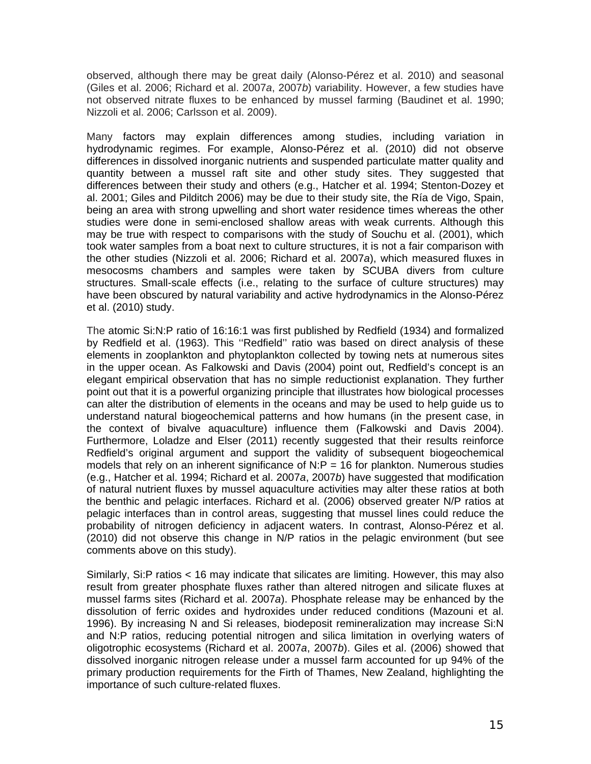observed, although there may be great daily (Alonso-Pérez et al. 2010) and seasonal (Giles et al. 2006; Richard et al. 2007*a*, 2007*b*) variability. However, a few studies have not observed nitrate fluxes to be enhanced by mussel farming (Baudinet et al. 1990; Nizzoli et al. 2006; Carlsson et al. 2009).

Many factors may explain differences among studies, including variation in hydrodynamic regimes. For example, Alonso-Pérez et al. (2010) did not observe differences in dissolved inorganic nutrients and suspended particulate matter quality and quantity between a mussel raft site and other study sites. They suggested that differences between their study and others (e.g., Hatcher et al. 1994; Stenton-Dozey et al. 2001; Giles and Pilditch 2006) may be due to their study site, the Ría de Vigo, Spain, being an area with strong upwelling and short water residence times whereas the other studies were done in semi-enclosed shallow areas with weak currents. Although this may be true with respect to comparisons with the study of Souchu et al. (2001), which took water samples from a boat next to culture structures, it is not a fair comparison with the other studies (Nizzoli et al. 2006; Richard et al. 2007*a*), which measured fluxes in mesocosms chambers and samples were taken by SCUBA divers from culture structures. Small-scale effects (i.e., relating to the surface of culture structures) may have been obscured by natural variability and active hydrodynamics in the Alonso-Pérez et al. (2010) study.

The atomic Si:N:P ratio of 16:16:1 was first published by Redfield (1934) and formalized by Redfield et al. (1963). This ''Redfield'' ratio was based on direct analysis of these elements in zooplankton and phytoplankton collected by towing nets at numerous sites in the upper ocean. As Falkowski and Davis (2004) point out, Redfield's concept is an elegant empirical observation that has no simple reductionist explanation. They further point out that it is a powerful organizing principle that illustrates how biological processes can alter the distribution of elements in the oceans and may be used to help guide us to understand natural biogeochemical patterns and how humans (in the present case, in the context of bivalve aquaculture) influence them (Falkowski and Davis 2004). Furthermore, Loladze and Elser (2011) recently suggested that their results reinforce Redfield's original argument and support the validity of subsequent biogeochemical models that rely on an inherent significance of  $N.P = 16$  for plankton. Numerous studies (e.g., Hatcher et al. 1994; Richard et al. 2007*a*, 2007*b*) have suggested that modification of natural nutrient fluxes by mussel aquaculture activities may alter these ratios at both the benthic and pelagic interfaces. Richard et al. (2006) observed greater N/P ratios at pelagic interfaces than in control areas, suggesting that mussel lines could reduce the probability of nitrogen deficiency in adjacent waters. In contrast, Alonso-Pérez et al. (2010) did not observe this change in N/P ratios in the pelagic environment (but see comments above on this study).

Similarly, Si:P ratios < 16 may indicate that silicates are limiting. However, this may also result from greater phosphate fluxes rather than altered nitrogen and silicate fluxes at mussel farms sites (Richard et al. 2007*a*). Phosphate release may be enhanced by the dissolution of ferric oxides and hydroxides under reduced conditions (Mazouni et al. 1996). By increasing N and Si releases, biodeposit remineralization may increase Si:N and N:P ratios, reducing potential nitrogen and silica limitation in overlying waters of oligotrophic ecosystems (Richard et al. 2007*a*, 2007*b*). Giles et al. (2006) showed that dissolved inorganic nitrogen release under a mussel farm accounted for up 94% of the primary production requirements for the Firth of Thames, New Zealand, highlighting the importance of such culture-related fluxes.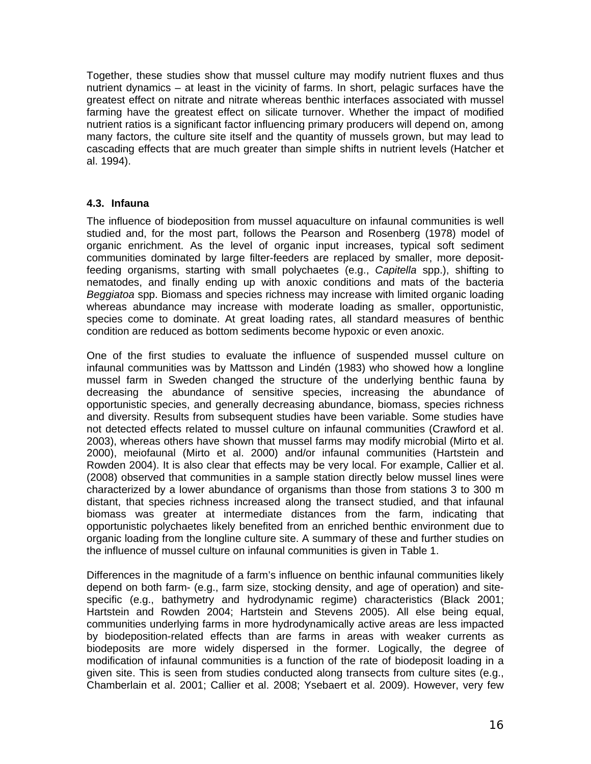Together, these studies show that mussel culture may modify nutrient fluxes and thus nutrient dynamics – at least in the vicinity of farms. In short, pelagic surfaces have the greatest effect on nitrate and nitrate whereas benthic interfaces associated with mussel farming have the greatest effect on silicate turnover. Whether the impact of modified nutrient ratios is a significant factor influencing primary producers will depend on, among many factors, the culture site itself and the quantity of mussels grown, but may lead to cascading effects that are much greater than simple shifts in nutrient levels (Hatcher et al. 1994).

#### **4.3. Infauna**

The influence of biodeposition from mussel aquaculture on infaunal communities is well studied and, for the most part, follows the Pearson and Rosenberg (1978) model of organic enrichment. As the level of organic input increases, typical soft sediment communities dominated by large filter-feeders are replaced by smaller, more depositfeeding organisms, starting with small polychaetes (e.g., *Capitella* spp.), shifting to nematodes, and finally ending up with anoxic conditions and mats of the bacteria *Beggiatoa* spp. Biomass and species richness may increase with limited organic loading whereas abundance may increase with moderate loading as smaller, opportunistic, species come to dominate. At great loading rates, all standard measures of benthic condition are reduced as bottom sediments become hypoxic or even anoxic.

One of the first studies to evaluate the influence of suspended mussel culture on infaunal communities was by Mattsson and Lindén (1983) who showed how a longline mussel farm in Sweden changed the structure of the underlying benthic fauna by decreasing the abundance of sensitive species, increasing the abundance of opportunistic species, and generally decreasing abundance, biomass, species richness and diversity. Results from subsequent studies have been variable. Some studies have not detected effects related to mussel culture on infaunal communities (Crawford et al. 2003), whereas others have shown that mussel farms may modify microbial (Mirto et al. 2000), meiofaunal (Mirto et al. 2000) and/or infaunal communities (Hartstein and Rowden 2004). It is also clear that effects may be very local. For example, Callier et al. (2008) observed that communities in a sample station directly below mussel lines were characterized by a lower abundance of organisms than those from stations 3 to 300 m distant, that species richness increased along the transect studied, and that infaunal biomass was greater at intermediate distances from the farm, indicating that opportunistic polychaetes likely benefited from an enriched benthic environment due to organic loading from the longline culture site. A summary of these and further studies on the influence of mussel culture on infaunal communities is given in Table 1.

Differences in the magnitude of a farm's influence on benthic infaunal communities likely depend on both farm- (e.g., farm size, stocking density, and age of operation) and sitespecific (e.g., bathymetry and hydrodynamic regime) characteristics (Black 2001; Hartstein and Rowden 2004; Hartstein and Stevens 2005). All else being equal, communities underlying farms in more hydrodynamically active areas are less impacted by biodeposition-related effects than are farms in areas with weaker currents as biodeposits are more widely dispersed in the former. Logically, the degree of modification of infaunal communities is a function of the rate of biodeposit loading in a given site. This is seen from studies conducted along transects from culture sites (e.g., Chamberlain et al. 2001; Callier et al. 2008; Ysebaert et al. 2009). However, very few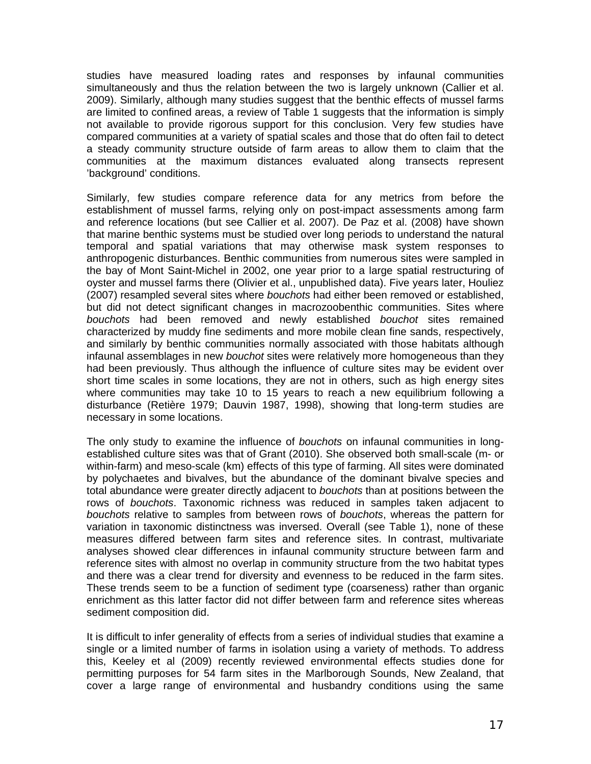studies have measured loading rates and responses by infaunal communities simultaneously and thus the relation between the two is largely unknown (Callier et al. 2009). Similarly, although many studies suggest that the benthic effects of mussel farms are limited to confined areas, a review of Table 1 suggests that the information is simply not available to provide rigorous support for this conclusion. Very few studies have compared communities at a variety of spatial scales and those that do often fail to detect a steady community structure outside of farm areas to allow them to claim that the communities at the maximum distances evaluated along transects represent 'background' conditions.

Similarly, few studies compare reference data for any metrics from before the establishment of mussel farms, relying only on post-impact assessments among farm and reference locations (but see Callier et al. 2007). De Paz et al. (2008) have shown that marine benthic systems must be studied over long periods to understand the natural temporal and spatial variations that may otherwise mask system responses to anthropogenic disturbances. Benthic communities from numerous sites were sampled in the bay of Mont Saint-Michel in 2002, one year prior to a large spatial restructuring of oyster and mussel farms there (Olivier et al., unpublished data). Five years later, Houliez (2007) resampled several sites where *bouchots* had either been removed or established, but did not detect significant changes in macrozoobenthic communities. Sites where *bouchots* had been removed and newly established *bouchot* sites remained characterized by muddy fine sediments and more mobile clean fine sands, respectively, and similarly by benthic communities normally associated with those habitats although infaunal assemblages in new *bouchot* sites were relatively more homogeneous than they had been previously. Thus although the influence of culture sites may be evident over short time scales in some locations, they are not in others, such as high energy sites where communities may take 10 to 15 years to reach a new equilibrium following a disturbance (Retière 1979; Dauvin 1987, 1998), showing that long-term studies are necessary in some locations.

The only study to examine the influence of *bouchots* on infaunal communities in longestablished culture sites was that of Grant (2010). She observed both small-scale (m- or within-farm) and meso-scale (km) effects of this type of farming. All sites were dominated by polychaetes and bivalves, but the abundance of the dominant bivalve species and total abundance were greater directly adjacent to *bouchots* than at positions between the rows of *bouchots*. Taxonomic richness was reduced in samples taken adjacent to *bouchots* relative to samples from between rows of *bouchots*, whereas the pattern for variation in taxonomic distinctness was inversed. Overall (see Table 1), none of these measures differed between farm sites and reference sites. In contrast, multivariate analyses showed clear differences in infaunal community structure between farm and reference sites with almost no overlap in community structure from the two habitat types and there was a clear trend for diversity and evenness to be reduced in the farm sites. These trends seem to be a function of sediment type (coarseness) rather than organic enrichment as this latter factor did not differ between farm and reference sites whereas sediment composition did.

It is difficult to infer generality of effects from a series of individual studies that examine a single or a limited number of farms in isolation using a variety of methods. To address this, Keeley et al (2009) recently reviewed environmental effects studies done for permitting purposes for 54 farm sites in the Marlborough Sounds, New Zealand, that cover a large range of environmental and husbandry conditions using the same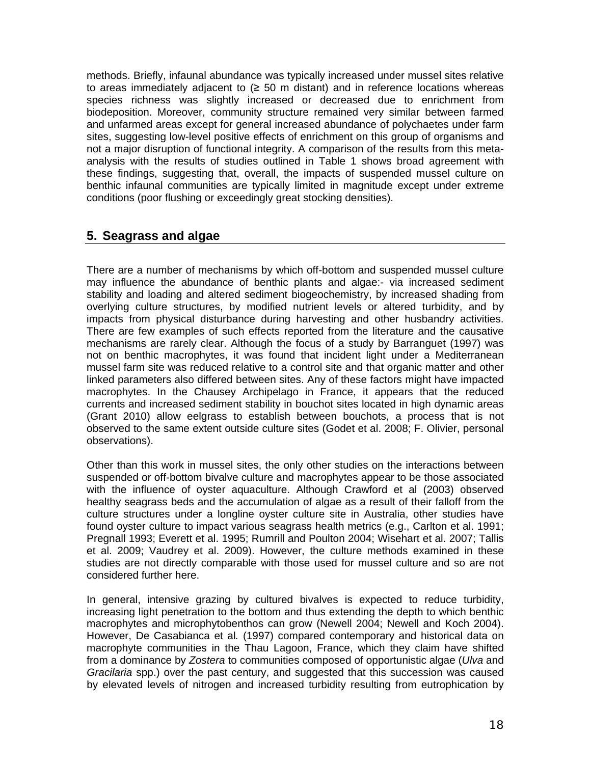methods. Briefly, infaunal abundance was typically increased under mussel sites relative to areas immediately adjacent to (≥ 50 m distant) and in reference locations whereas species richness was slightly increased or decreased due to enrichment from biodeposition. Moreover, community structure remained very similar between farmed and unfarmed areas except for general increased abundance of polychaetes under farm sites, suggesting low-level positive effects of enrichment on this group of organisms and not a major disruption of functional integrity. A comparison of the results from this metaanalysis with the results of studies outlined in Table 1 shows broad agreement with these findings, suggesting that, overall, the impacts of suspended mussel culture on benthic infaunal communities are typically limited in magnitude except under extreme conditions (poor flushing or exceedingly great stocking densities).

## **5. Seagrass and algae**

There are a number of mechanisms by which off-bottom and suspended mussel culture may influence the abundance of benthic plants and algae:- via increased sediment stability and loading and altered sediment biogeochemistry, by increased shading from overlying culture structures, by modified nutrient levels or altered turbidity, and by impacts from physical disturbance during harvesting and other husbandry activities. There are few examples of such effects reported from the literature and the causative mechanisms are rarely clear. Although the focus of a study by Barranguet (1997) was not on benthic macrophytes, it was found that incident light under a Mediterranean mussel farm site was reduced relative to a control site and that organic matter and other linked parameters also differed between sites. Any of these factors might have impacted macrophytes. In the Chausey Archipelago in France, it appears that the reduced currents and increased sediment stability in bouchot sites located in high dynamic areas (Grant 2010) allow eelgrass to establish between bouchots, a process that is not observed to the same extent outside culture sites (Godet et al. 2008; F. Olivier, personal observations).

Other than this work in mussel sites, the only other studies on the interactions between suspended or off-bottom bivalve culture and macrophytes appear to be those associated with the influence of oyster aquaculture. Although Crawford et al (2003) observed healthy seagrass beds and the accumulation of algae as a result of their falloff from the culture structures under a longline oyster culture site in Australia, other studies have found oyster culture to impact various seagrass health metrics (e.g., Carlton et al. 1991; Pregnall 1993; Everett et al. 1995; Rumrill and Poulton 2004; Wisehart et al. 2007; Tallis et al. 2009; Vaudrey et al. 2009). However, the culture methods examined in these studies are not directly comparable with those used for mussel culture and so are not considered further here.

In general, intensive grazing by cultured bivalves is expected to reduce turbidity, increasing light penetration to the bottom and thus extending the depth to which benthic macrophytes and microphytobenthos can grow (Newell 2004; Newell and Koch 2004). However, De Casabianca et al*.* (1997) compared contemporary and historical data on macrophyte communities in the Thau Lagoon, France, which they claim have shifted from a dominance by *Zostera* to communities composed of opportunistic algae (*Ulva* and *Gracilaria* spp.) over the past century, and suggested that this succession was caused by elevated levels of nitrogen and increased turbidity resulting from eutrophication by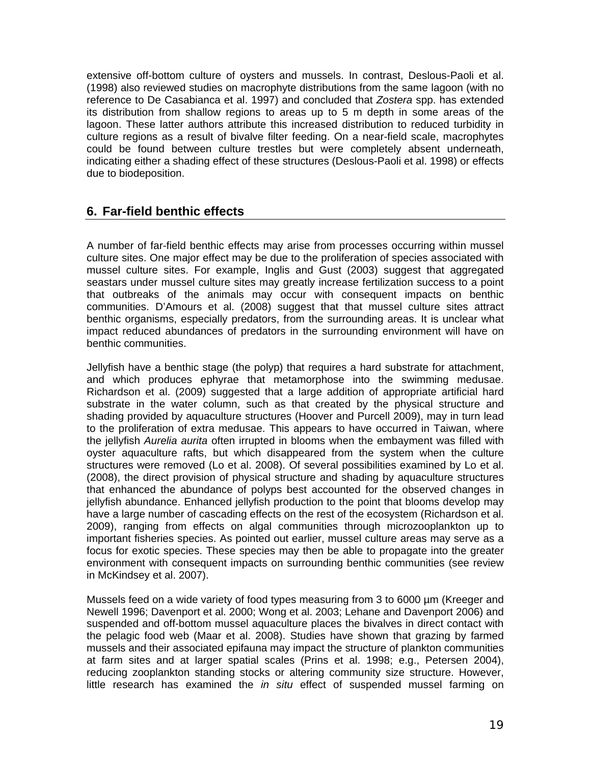extensive off-bottom culture of oysters and mussels. In contrast, Deslous-Paoli et al. (1998) also reviewed studies on macrophyte distributions from the same lagoon (with no reference to De Casabianca et al. 1997) and concluded that *Zostera* spp. has extended its distribution from shallow regions to areas up to 5 m depth in some areas of the lagoon. These latter authors attribute this increased distribution to reduced turbidity in culture regions as a result of bivalve filter feeding. On a near-field scale, macrophytes could be found between culture trestles but were completely absent underneath, indicating either a shading effect of these structures (Deslous-Paoli et al. 1998) or effects due to biodeposition.

# **6. Far-field benthic effects**

A number of far-field benthic effects may arise from processes occurring within mussel culture sites. One major effect may be due to the proliferation of species associated with mussel culture sites. For example, Inglis and Gust (2003) suggest that aggregated seastars under mussel culture sites may greatly increase fertilization success to a point that outbreaks of the animals may occur with consequent impacts on benthic communities. D'Amours et al. (2008) suggest that that mussel culture sites attract benthic organisms, especially predators, from the surrounding areas. It is unclear what impact reduced abundances of predators in the surrounding environment will have on benthic communities.

Jellyfish have a benthic stage (the polyp) that requires a hard substrate for attachment, and which produces ephyrae that metamorphose into the swimming medusae. Richardson et al. (2009) suggested that a large addition of appropriate artificial hard substrate in the water column, such as that created by the physical structure and shading provided by aquaculture structures (Hoover and Purcell 2009), may in turn lead to the proliferation of extra medusae. This appears to have occurred in Taiwan, where the jellyfish *Aurelia aurita* often irrupted in blooms when the embayment was filled with oyster aquaculture rafts, but which disappeared from the system when the culture structures were removed (Lo et al. 2008). Of several possibilities examined by Lo et al. (2008), the direct provision of physical structure and shading by aquaculture structures that enhanced the abundance of polyps best accounted for the observed changes in jellyfish abundance. Enhanced jellyfish production to the point that blooms develop may have a large number of cascading effects on the rest of the ecosystem (Richardson et al. 2009), ranging from effects on algal communities through microzooplankton up to important fisheries species. As pointed out earlier, mussel culture areas may serve as a focus for exotic species. These species may then be able to propagate into the greater environment with consequent impacts on surrounding benthic communities (see review in McKindsey et al. 2007).

Mussels feed on a wide variety of food types measuring from 3 to 6000 µm (Kreeger and Newell 1996; Davenport et al. 2000; Wong et al. 2003; Lehane and Davenport 2006) and suspended and off-bottom mussel aquaculture places the bivalves in direct contact with the pelagic food web (Maar et al. 2008). Studies have shown that grazing by farmed mussels and their associated epifauna may impact the structure of plankton communities at farm sites and at larger spatial scales (Prins et al. 1998; e.g., Petersen 2004), reducing zooplankton standing stocks or altering community size structure. However, little research has examined the *in situ* effect of suspended mussel farming on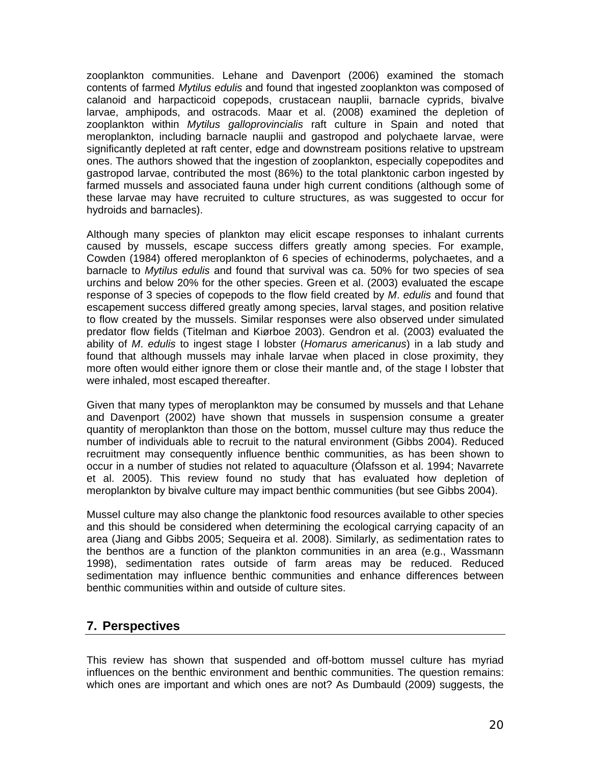zooplankton communities. Lehane and Davenport (2006) examined the stomach contents of farmed *Mytilus edulis* and found that ingested zooplankton was composed of calanoid and harpacticoid copepods, crustacean nauplii, barnacle cyprids, bivalve larvae, amphipods, and ostracods. Maar et al. (2008) examined the depletion of zooplankton within *Mytilus galloprovincialis* raft culture in Spain and noted that meroplankton, including barnacle nauplii and gastropod and polychaete larvae, were significantly depleted at raft center, edge and downstream positions relative to upstream ones. The authors showed that the ingestion of zooplankton, especially copepodites and gastropod larvae, contributed the most (86%) to the total planktonic carbon ingested by farmed mussels and associated fauna under high current conditions (although some of these larvae may have recruited to culture structures, as was suggested to occur for hydroids and barnacles).

Although many species of plankton may elicit escape responses to inhalant currents caused by mussels, escape success differs greatly among species. For example, Cowden (1984) offered meroplankton of 6 species of echinoderms, polychaetes, and a barnacle to *Mytilus edulis* and found that survival was ca. 50% for two species of sea urchins and below 20% for the other species. Green et al. (2003) evaluated the escape response of 3 species of copepods to the flow field created by *M*. *edulis* and found that escapement success differed greatly among species, larval stages, and position relative to flow created by the mussels. Similar responses were also observed under simulated predator flow fields (Titelman and Kiørboe 2003). Gendron et al. (2003) evaluated the ability of *M*. *edulis* to ingest stage I lobster (*Homarus americanus*) in a lab study and found that although mussels may inhale larvae when placed in close proximity, they more often would either ignore them or close their mantle and, of the stage I lobster that were inhaled, most escaped thereafter.

Given that many types of meroplankton may be consumed by mussels and that Lehane and Davenport (2002) have shown that mussels in suspension consume a greater quantity of meroplankton than those on the bottom, mussel culture may thus reduce the number of individuals able to recruit to the natural environment (Gibbs 2004). Reduced recruitment may consequently influence benthic communities, as has been shown to occur in a number of studies not related to aquaculture (Ólafsson et al. 1994; Navarrete et al. 2005). This review found no study that has evaluated how depletion of meroplankton by bivalve culture may impact benthic communities (but see Gibbs 2004).

Mussel culture may also change the planktonic food resources available to other species and this should be considered when determining the ecological carrying capacity of an area (Jiang and Gibbs 2005; Sequeira et al. 2008). Similarly, as sedimentation rates to the benthos are a function of the plankton communities in an area (e.g., Wassmann 1998), sedimentation rates outside of farm areas may be reduced. Reduced sedimentation may influence benthic communities and enhance differences between benthic communities within and outside of culture sites.

### **7. Perspectives**

This review has shown that suspended and off-bottom mussel culture has myriad influences on the benthic environment and benthic communities. The question remains: which ones are important and which ones are not? As Dumbauld (2009) suggests, the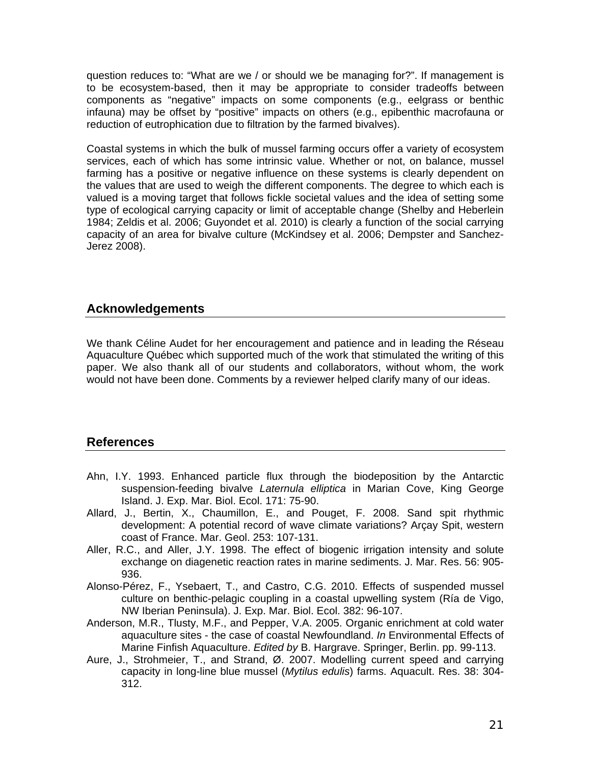question reduces to: "What are we / or should we be managing for?". If management is to be ecosystem-based, then it may be appropriate to consider tradeoffs between components as "negative" impacts on some components (e.g., eelgrass or benthic infauna) may be offset by "positive" impacts on others (e.g., epibenthic macrofauna or reduction of eutrophication due to filtration by the farmed bivalves).

Coastal systems in which the bulk of mussel farming occurs offer a variety of ecosystem services, each of which has some intrinsic value. Whether or not, on balance, mussel farming has a positive or negative influence on these systems is clearly dependent on the values that are used to weigh the different components. The degree to which each is valued is a moving target that follows fickle societal values and the idea of setting some type of ecological carrying capacity or limit of acceptable change (Shelby and Heberlein 1984; Zeldis et al. 2006; Guyondet et al. 2010) is clearly a function of the social carrying capacity of an area for bivalve culture (McKindsey et al. 2006; Dempster and Sanchez-Jerez 2008).

### **Acknowledgements**

We thank Céline Audet for her encouragement and patience and in leading the Réseau Aquaculture Québec which supported much of the work that stimulated the writing of this paper. We also thank all of our students and collaborators, without whom, the work would not have been done. Comments by a reviewer helped clarify many of our ideas.

### **References**

- Ahn, I.Y. 1993. Enhanced particle flux through the biodeposition by the Antarctic suspension-feeding bivalve *Laternula elliptica* in Marian Cove, King George Island. J. Exp. Mar. Biol. Ecol. 171: 75-90.
- Allard, J., Bertin, X., Chaumillon, E., and Pouget, F. 2008. Sand spit rhythmic development: A potential record of wave climate variations? Arçay Spit, western coast of France. Mar. Geol. 253: 107-131.
- Aller, R.C., and Aller, J.Y. 1998. The effect of biogenic irrigation intensity and solute exchange on diagenetic reaction rates in marine sediments. J. Mar. Res. 56: 905- 936.
- Alonso-Pérez, F., Ysebaert, T., and Castro, C.G. 2010. Effects of suspended mussel culture on benthic-pelagic coupling in a coastal upwelling system (Ría de Vigo, NW Iberian Peninsula). J. Exp. Mar. Biol. Ecol. 382: 96-107.
- Anderson, M.R., Tlusty, M.F., and Pepper, V.A. 2005. Organic enrichment at cold water aquaculture sites - the case of coastal Newfoundland. *In* Environmental Effects of Marine Finfish Aquaculture. *Edited by* B. Hargrave. Springer, Berlin. pp. 99-113.
- Aure, J., Strohmeier, T., and Strand, Ø. 2007. Modelling current speed and carrying capacity in long-line blue mussel (*Mytilus edulis*) farms. Aquacult. Res. 38: 304- 312.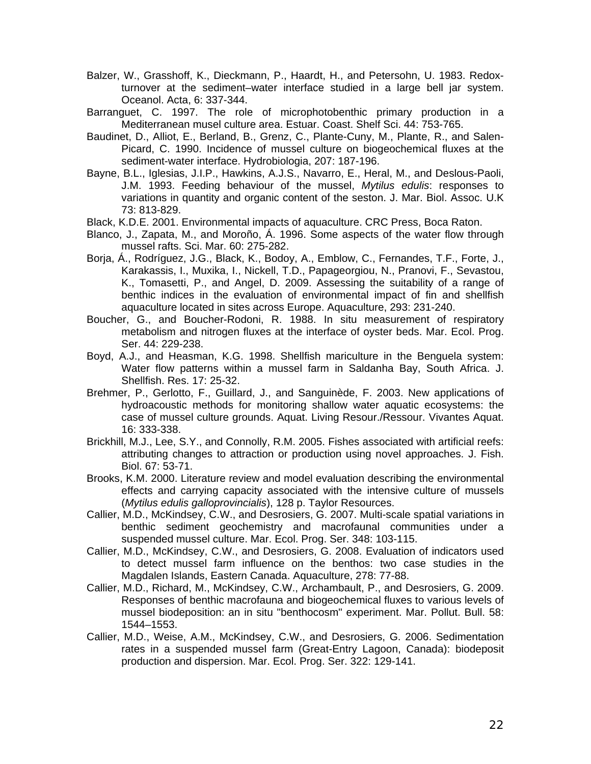- Balzer, W., Grasshoff, K., Dieckmann, P., Haardt, H., and Petersohn, U. 1983. Redoxturnover at the sediment–water interface studied in a large bell jar system. Oceanol. Acta, 6: 337-344.
- Barranguet, C. 1997. The role of microphotobenthic primary production in a Mediterranean musel culture area. Estuar. Coast. Shelf Sci. 44: 753-765.
- Baudinet, D., Alliot, E., Berland, B., Grenz, C., Plante-Cuny, M., Plante, R., and Salen-Picard, C. 1990. Incidence of mussel culture on biogeochemical fluxes at the sediment-water interface. Hydrobiologia, 207: 187-196.
- Bayne, B.L., Iglesias, J.I.P., Hawkins, A.J.S., Navarro, E., Heral, M., and Deslous-Paoli, J.M. 1993. Feeding behaviour of the mussel, *Mytilus edulis*: responses to variations in quantity and organic content of the seston. J. Mar. Biol. Assoc. U.K 73: 813-829.
- Black, K.D.E. 2001. Environmental impacts of aquaculture. CRC Press, Boca Raton.
- Blanco, J., Zapata, M., and Moroño, Á. 1996. Some aspects of the water flow through mussel rafts. Sci. Mar. 60: 275-282.
- Borja, Á., Rodríguez, J.G., Black, K., Bodoy, A., Emblow, C., Fernandes, T.F., Forte, J., Karakassis, I., Muxika, I., Nickell, T.D., Papageorgiou, N., Pranovi, F., Sevastou, K., Tomasetti, P., and Angel, D. 2009. Assessing the suitability of a range of benthic indices in the evaluation of environmental impact of fin and shellfish aquaculture located in sites across Europe. Aquaculture, 293: 231-240.
- Boucher, G., and Boucher-Rodoni, R. 1988. In situ measurement of respiratory metabolism and nitrogen fluxes at the interface of oyster beds. Mar. Ecol. Prog. Ser. 44: 229-238.
- Boyd, A.J., and Heasman, K.G. 1998. Shellfish mariculture in the Benguela system: Water flow patterns within a mussel farm in Saldanha Bay, South Africa. J. Shellfish. Res. 17: 25-32.
- Brehmer, P., Gerlotto, F., Guillard, J., and Sanguinède, F. 2003. New applications of hydroacoustic methods for monitoring shallow water aquatic ecosystems: the case of mussel culture grounds. Aquat. Living Resour./Ressour. Vivantes Aquat. 16: 333-338.
- Brickhill, M.J., Lee, S.Y., and Connolly, R.M. 2005. Fishes associated with artificial reefs: attributing changes to attraction or production using novel approaches. J. Fish. Biol. 67: 53-71.
- Brooks, K.M. 2000. Literature review and model evaluation describing the environmental effects and carrying capacity associated with the intensive culture of mussels (*Mytilus edulis galloprovincialis*), 128 p. Taylor Resources.
- Callier, M.D., McKindsey, C.W., and Desrosiers, G. 2007. Multi-scale spatial variations in benthic sediment geochemistry and macrofaunal communities under a suspended mussel culture. Mar. Ecol. Prog. Ser. 348: 103-115.
- Callier, M.D., McKindsey, C.W., and Desrosiers, G. 2008. Evaluation of indicators used to detect mussel farm influence on the benthos: two case studies in the Magdalen Islands, Eastern Canada. Aquaculture, 278: 77-88.
- Callier, M.D., Richard, M., McKindsey, C.W., Archambault, P., and Desrosiers, G. 2009. Responses of benthic macrofauna and biogeochemical fluxes to various levels of mussel biodeposition: an in situ "benthocosm" experiment. Mar. Pollut. Bull. 58: 1544–1553.
- Callier, M.D., Weise, A.M., McKindsey, C.W., and Desrosiers, G. 2006. Sedimentation rates in a suspended mussel farm (Great-Entry Lagoon, Canada): biodeposit production and dispersion. Mar. Ecol. Prog. Ser. 322: 129-141.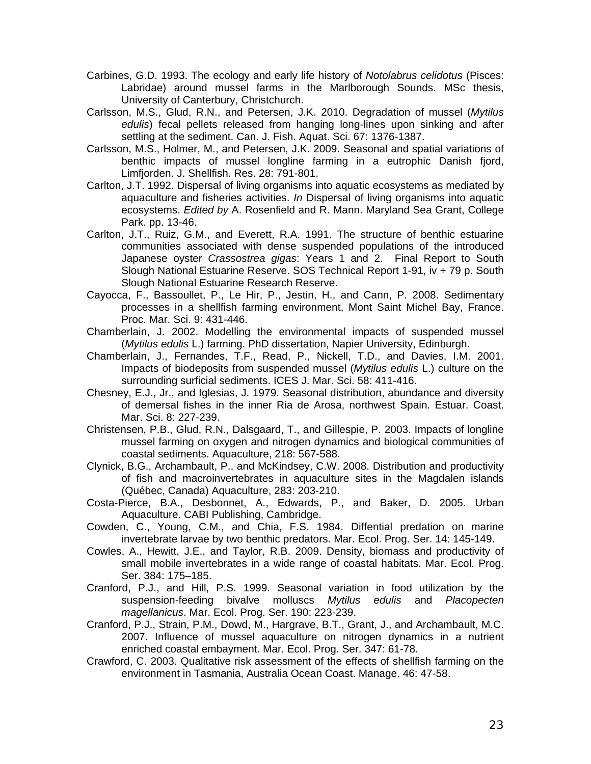- Carbines, G.D. 1993. The ecology and early life history of *Notolabrus celidotus* (Pisces: Labridae) around mussel farms in the Marlborough Sounds. MSc thesis, University of Canterbury, Christchurch.
- Carlsson, M.S., Glud, R.N., and Petersen, J.K. 2010. Degradation of mussel (*Mytilus edulis*) fecal pellets released from hanging long-lines upon sinking and after settling at the sediment. Can. J. Fish. Aquat. Sci. 67: 1376-1387.
- Carlsson, M.S., Holmer, M., and Petersen, J.K. 2009. Seasonal and spatial variations of benthic impacts of mussel longline farming in a eutrophic Danish fjord, Limfjorden. J. Shellfish. Res. 28: 791-801.
- Carlton, J.T. 1992. Dispersal of living organisms into aquatic ecosystems as mediated by aquaculture and fisheries activities. *In* Dispersal of living organisms into aquatic ecosystems. *Edited by* A. Rosenfield and R. Mann. Maryland Sea Grant, College Park. pp. 13-46.
- Carlton, J.T., Ruiz, G.M., and Everett, R.A. 1991. The structure of benthic estuarine communities associated with dense suspended populations of the introduced Japanese oyster *Crassostrea gigas*: Years 1 and 2. Final Report to South Slough National Estuarine Reserve. SOS Technical Report 1-91, iv + 79 p. South Slough National Estuarine Research Reserve.
- Cayocca, F., Bassoullet, P., Le Hir, P., Jestin, H., and Cann, P. 2008. Sedimentary processes in a shellfish farming environment, Mont Saint Michel Bay, France. Proc. Mar. Sci. 9: 431-446.
- Chamberlain, J. 2002. Modelling the environmental impacts of suspended mussel (*Mytilus edulis* L.) farming. PhD dissertation, Napier University, Edinburgh.
- Chamberlain, J., Fernandes, T.F., Read, P., Nickell, T.D., and Davies, I.M. 2001. Impacts of biodeposits from suspended mussel (*Mytilus edulis* L.) culture on the surrounding surficial sediments. ICES J. Mar. Sci. 58: 411-416.
- Chesney, E.J., Jr., and Iglesias, J. 1979. Seasonal distribution, abundance and diversity of demersal fishes in the inner Ria de Arosa, northwest Spain. Estuar. Coast. Mar. Sci. 8: 227-239.
- Christensen, P.B., Glud, R.N., Dalsgaard, T., and Gillespie, P. 2003. Impacts of longline mussel farming on oxygen and nitrogen dynamics and biological communities of coastal sediments. Aquaculture, 218: 567-588.
- Clynick, B.G., Archambault, P., and McKindsey, C.W. 2008. Distribution and productivity of fish and macroinvertebrates in aquaculture sites in the Magdalen islands (Québec, Canada) Aquaculture, 283: 203-210.
- Costa-Pierce, B.A., Desbonnet, A., Edwards, P., and Baker, D. 2005. Urban Aquaculture. CABI Publishing, Cambridge.
- Cowden, C., Young, C.M., and Chia, F.S. 1984. Diffential predation on marine invertebrate larvae by two benthic predators. Mar. Ecol. Prog. Ser. 14: 145-149.
- Cowles, A., Hewitt, J.E., and Taylor, R.B. 2009. Density, biomass and productivity of small mobile invertebrates in a wide range of coastal habitats. Mar. Ecol. Prog. Ser. 384: 175–185.
- Cranford, P.J., and Hill, P.S. 1999. Seasonal variation in food utilization by the suspension-feeding bivalve molluscs *Mytilus edulis* and *Placopecten magellanicus*. Mar. Ecol. Prog. Ser. 190: 223-239.
- Cranford, P.J., Strain, P.M., Dowd, M., Hargrave, B.T., Grant, J., and Archambault, M.C. 2007. Influence of mussel aquaculture on nitrogen dynamics in a nutrient enriched coastal embayment. Mar. Ecol. Prog. Ser. 347: 61-78.
- Crawford, C. 2003. Qualitative risk assessment of the effects of shellfish farming on the environment in Tasmania, Australia Ocean Coast. Manage. 46: 47-58.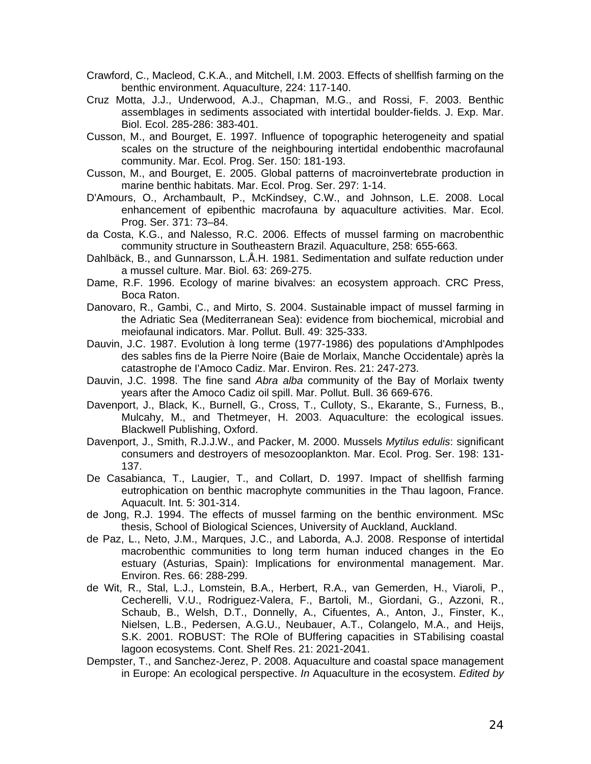- Crawford, C., Macleod, C.K.A., and Mitchell, I.M. 2003. Effects of shellfish farming on the benthic environment. Aquaculture, 224: 117-140.
- Cruz Motta, J.J., Underwood, A.J., Chapman, M.G., and Rossi, F. 2003. Benthic assemblages in sediments associated with intertidal boulder-fields. J. Exp. Mar. Biol. Ecol. 285-286: 383-401.
- Cusson, M., and Bourget, E. 1997. Influence of topographic heterogeneity and spatial scales on the structure of the neighbouring intertidal endobenthic macrofaunal community. Mar. Ecol. Prog. Ser. 150: 181-193.
- Cusson, M., and Bourget, E. 2005. Global patterns of macroinvertebrate production in marine benthic habitats. Mar. Ecol. Prog. Ser. 297: 1-14.
- D'Amours, O., Archambault, P., McKindsey, C.W., and Johnson, L.E. 2008. Local enhancement of epibenthic macrofauna by aquaculture activities. Mar. Ecol. Prog. Ser. 371: 73–84.
- da Costa, K.G., and Nalesso, R.C. 2006. Effects of mussel farming on macrobenthic community structure in Southeastern Brazil. Aquaculture, 258: 655-663.
- Dahlbäck, B., and Gunnarsson, L.Å.H. 1981. Sedimentation and sulfate reduction under a mussel culture. Mar. Biol. 63: 269-275.
- Dame, R.F. 1996. Ecology of marine bivalves: an ecosystem approach. CRC Press, Boca Raton.
- Danovaro, R., Gambi, C., and Mirto, S. 2004. Sustainable impact of mussel farming in the Adriatic Sea (Mediterranean Sea): evidence from biochemical, microbial and meiofaunal indicators. Mar. Pollut. Bull. 49: 325-333.
- Dauvin, J.C. 1987. Evolution à long terme (1977-1986) des populations d'Amphlpodes des sables fins de la Pierre Noire (Baie de Morlaix, Manche Occidentale) après la catastrophe de I'Amoco Cadiz. Mar. Environ. Res. 21: 247-273.
- Dauvin, J.C. 1998. The fine sand *Abra alba* community of the Bay of Morlaix twenty years after the Amoco Cadiz oil spill. Mar. Pollut. Bull. 36 669-676.
- Davenport, J., Black, K., Burnell, G., Cross, T., Culloty, S., Ekarante, S., Furness, B., Mulcahy, M., and Thetmeyer, H. 2003. Aquaculture: the ecological issues. Blackwell Publishing, Oxford.
- Davenport, J., Smith, R.J.J.W., and Packer, M. 2000. Mussels *Mytilus edulis*: significant consumers and destroyers of mesozooplankton. Mar. Ecol. Prog. Ser. 198: 131- 137.
- De Casabianca, T., Laugier, T., and Collart, D. 1997. Impact of shellfish farming eutrophication on benthic macrophyte communities in the Thau lagoon, France. Aquacult. Int. 5: 301-314.
- de Jong, R.J. 1994. The effects of mussel farming on the benthic environment. MSc thesis, School of Biological Sciences, University of Auckland, Auckland.
- de Paz, L., Neto, J.M., Marques, J.C., and Laborda, A.J. 2008. Response of intertidal macrobenthic communities to long term human induced changes in the Eo estuary (Asturias, Spain): Implications for environmental management. Mar. Environ. Res. 66: 288-299.
- de Wit, R., Stal, L.J., Lomstein, B.A., Herbert, R.A., van Gemerden, H., Viaroli, P., Cecherelli, V.U., Rodriguez-Valera, F., Bartoli, M., Giordani, G., Azzoni, R., Schaub, B., Welsh, D.T., Donnelly, A., Cifuentes, A., Anton, J., Finster, K., Nielsen, L.B., Pedersen, A.G.U., Neubauer, A.T., Colangelo, M.A., and Heijs, S.K. 2001. ROBUST: The ROle of BUffering capacities in STabilising coastal lagoon ecosystems. Cont. Shelf Res. 21: 2021-2041.
- Dempster, T., and Sanchez-Jerez, P. 2008. Aquaculture and coastal space management in Europe: An ecological perspective. *In* Aquaculture in the ecosystem. *Edited by*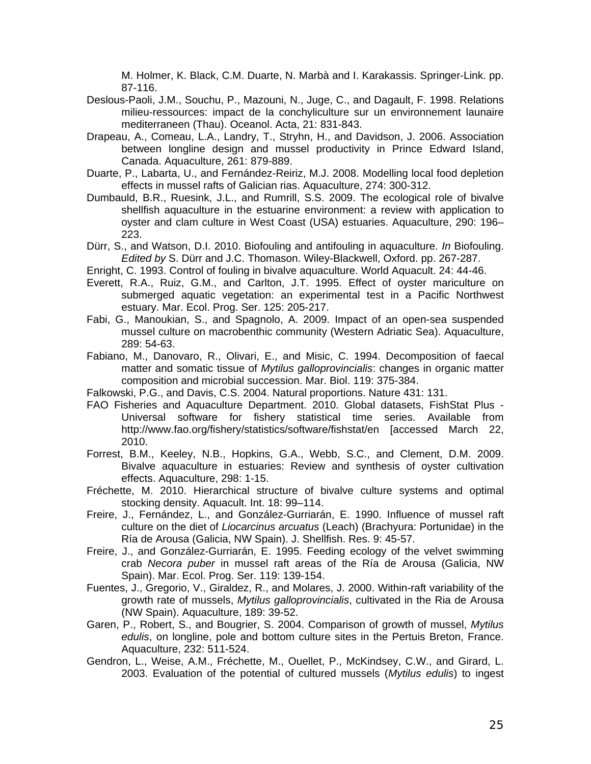M. Holmer, K. Black, C.M. Duarte, N. Marbà and I. Karakassis. Springer-Link. pp. 87-116.

- Deslous-Paoli, J.M., Souchu, P., Mazouni, N., Juge, C., and Dagault, F. 1998. Relations milieu-ressources: impact de la conchyliculture sur un environnement launaire mediterraneen (Thau). Oceanol. Acta, 21: 831-843.
- Drapeau, A., Comeau, L.A., Landry, T., Stryhn, H., and Davidson, J. 2006. Association between longline design and mussel productivity in Prince Edward Island, Canada. Aquaculture, 261: 879-889.
- Duarte, P., Labarta, U., and Fernández-Reiriz, M.J. 2008. Modelling local food depletion effects in mussel rafts of Galician rias. Aquaculture, 274: 300-312.
- Dumbauld, B.R., Ruesink, J.L., and Rumrill, S.S. 2009. The ecological role of bivalve shellfish aquaculture in the estuarine environment: a review with application to oyster and clam culture in West Coast (USA) estuaries. Aquaculture, 290: 196– 223.
- Dürr, S., and Watson, D.I. 2010. Biofouling and antifouling in aquaculture. *In* Biofouling. *Edited by* S. Dürr and J.C. Thomason. Wiley-Blackwell, Oxford. pp. 267-287.
- Enright, C. 1993. Control of fouling in bivalve aquaculture. World Aquacult. 24: 44-46.
- Everett, R.A., Ruiz, G.M., and Carlton, J.T. 1995. Effect of oyster mariculture on submerged aquatic vegetation: an experimental test in a Pacific Northwest estuary. Mar. Ecol. Prog. Ser. 125: 205-217.
- Fabi, G., Manoukian, S., and Spagnolo, A. 2009. Impact of an open-sea suspended mussel culture on macrobenthic community (Western Adriatic Sea). Aquaculture, 289: 54-63.
- Fabiano, M., Danovaro, R., Olivari, E., and Misic, C. 1994. Decomposition of faecal matter and somatic tissue of *Mytilus galloprovincialis*: changes in organic matter composition and microbial succession. Mar. Biol. 119: 375-384.
- Falkowski, P.G., and Davis, C.S. 2004. Natural proportions. Nature 431: 131.
- FAO Fisheries and Aquaculture Department. 2010. Global datasets, FishStat Plus Universal software for fishery statistical time series. Available from http://www.fao.org/fishery/statistics/software/fishstat/en [accessed March 22, 2010.
- Forrest, B.M., Keeley, N.B., Hopkins, G.A., Webb, S.C., and Clement, D.M. 2009. Bivalve aquaculture in estuaries: Review and synthesis of oyster cultivation effects. Aquaculture, 298: 1-15.
- Fréchette, M. 2010. Hierarchical structure of bivalve culture systems and optimal stocking density. Aquacult. Int. 18: 99–114.
- Freire, J., Fernández, L., and González-Gurriarán, E. 1990. Influence of mussel raft culture on the diet of *Liocarcinus arcuatus* (Leach) (Brachyura: Portunidae) in the Ría de Arousa (Galicia, NW Spain). J. Shellfish. Res. 9: 45-57.
- Freire, J., and González-Gurriarán, E. 1995. Feeding ecology of the velvet swimming crab *Necora puber* in mussel raft areas of the Ría de Arousa (Galicia, NW Spain). Mar. Ecol. Prog. Ser. 119: 139-154.
- Fuentes, J., Gregorio, V., Giraldez, R., and Molares, J. 2000. Within-raft variability of the growth rate of mussels, *Mytilus galloprovincialis*, cultivated in the Ria de Arousa (NW Spain). Aquaculture, 189: 39-52.
- Garen, P., Robert, S., and Bougrier, S. 2004. Comparison of growth of mussel, *Mytilus edulis*, on longline, pole and bottom culture sites in the Pertuis Breton, France. Aquaculture, 232: 511-524.
- Gendron, L., Weise, A.M., Fréchette, M., Ouellet, P., McKindsey, C.W., and Girard, L. 2003. Evaluation of the potential of cultured mussels (*Mytilus edulis*) to ingest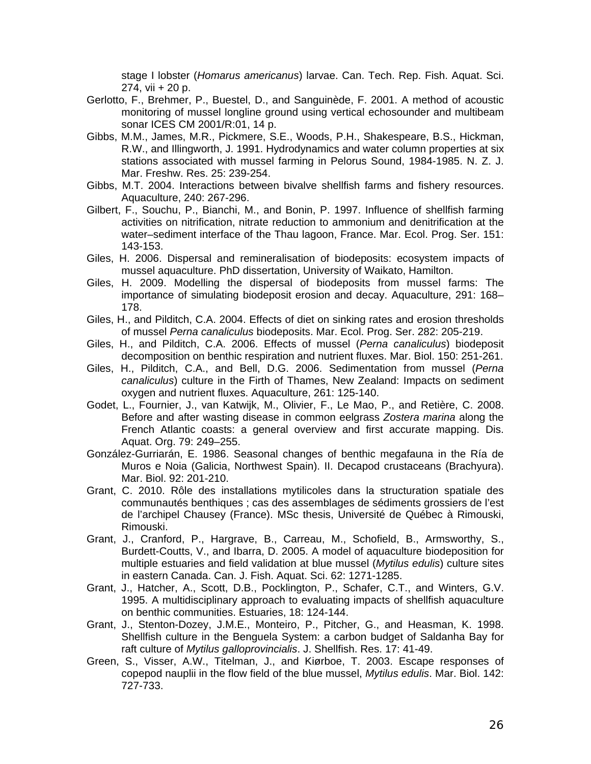stage I lobster (*Homarus americanus*) larvae. Can. Tech. Rep. Fish. Aquat. Sci. 274, vii + 20 p.

- Gerlotto, F., Brehmer, P., Buestel, D., and Sanguinède, F. 2001. A method of acoustic monitoring of mussel longline ground using vertical echosounder and multibeam sonar ICES CM 2001/R:01, 14 p.
- Gibbs, M.M., James, M.R., Pickmere, S.E., Woods, P.H., Shakespeare, B.S., Hickman, R.W., and Illingworth, J. 1991. Hydrodynamics and water column properties at six stations associated with mussel farming in Pelorus Sound, 1984-1985. N. Z. J. Mar. Freshw. Res. 25: 239-254.
- Gibbs, M.T. 2004. Interactions between bivalve shellfish farms and fishery resources. Aquaculture, 240: 267-296.
- Gilbert, F., Souchu, P., Bianchi, M., and Bonin, P. 1997. Influence of shellfish farming activities on nitrification, nitrate reduction to ammonium and denitrification at the water–sediment interface of the Thau lagoon, France. Mar. Ecol. Prog. Ser. 151: 143-153.
- Giles, H. 2006. Dispersal and remineralisation of biodeposits: ecosystem impacts of mussel aquaculture. PhD dissertation, University of Waikato, Hamilton.
- Giles, H. 2009. Modelling the dispersal of biodeposits from mussel farms: The importance of simulating biodeposit erosion and decay. Aquaculture, 291: 168– 178.
- Giles, H., and Pilditch, C.A. 2004. Effects of diet on sinking rates and erosion thresholds of mussel *Perna canaliculus* biodeposits. Mar. Ecol. Prog. Ser. 282: 205-219.
- Giles, H., and Pilditch, C.A. 2006. Effects of mussel (*Perna canaliculus*) biodeposit decomposition on benthic respiration and nutrient fluxes. Mar. Biol. 150: 251-261.
- Giles, H., Pilditch, C.A., and Bell, D.G. 2006. Sedimentation from mussel (*Perna canaliculus*) culture in the Firth of Thames, New Zealand: Impacts on sediment oxygen and nutrient fluxes. Aquaculture, 261: 125-140.
- Godet, L., Fournier, J., van Katwijk, M., Olivier, F., Le Mao, P., and Retière, C. 2008. Before and after wasting disease in common eelgrass *Zostera marina* along the French Atlantic coasts: a general overview and first accurate mapping. Dis. Aquat. Org. 79: 249–255.
- González-Gurriarán, E. 1986. Seasonal changes of benthic megafauna in the Ría de Muros e Noia (Galicia, Northwest Spain). II. Decapod crustaceans (Brachyura). Mar. Biol. 92: 201-210.
- Grant, C. 2010. Rôle des installations mytilicoles dans la structuration spatiale des communautés benthiques ; cas des assemblages de sédiments grossiers de l'est de l'archipel Chausey (France). MSc thesis, Université de Québec à Rimouski, Rimouski.
- Grant, J., Cranford, P., Hargrave, B., Carreau, M., Schofield, B., Armsworthy, S., Burdett-Coutts, V., and Ibarra, D. 2005. A model of aquaculture biodeposition for multiple estuaries and field validation at blue mussel (*Mytilus edulis*) culture sites in eastern Canada. Can. J. Fish. Aquat. Sci. 62: 1271-1285.
- Grant, J., Hatcher, A., Scott, D.B., Pocklington, P., Schafer, C.T., and Winters, G.V. 1995. A multidisciplinary approach to evaluating impacts of shellfish aquaculture on benthic communities. Estuaries, 18: 124-144.
- Grant, J., Stenton-Dozey, J.M.E., Monteiro, P., Pitcher, G., and Heasman, K. 1998. Shellfish culture in the Benguela System: a carbon budget of Saldanha Bay for raft culture of *Mytilus galloprovincialis*. J. Shellfish. Res. 17: 41-49.
- Green, S., Visser, A.W., Titelman, J., and Kiørboe, T. 2003. Escape responses of copepod nauplii in the flow field of the blue mussel, *Mytilus edulis*. Mar. Biol. 142: 727-733.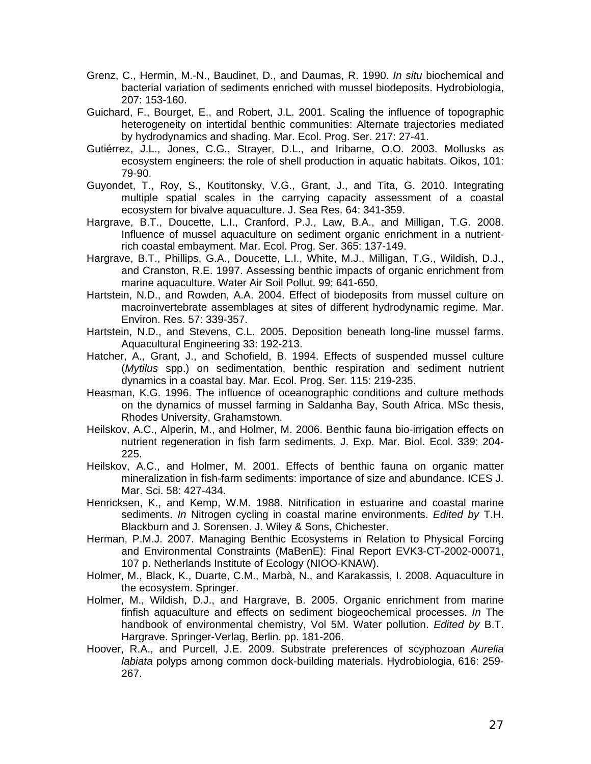- Grenz, C., Hermin, M.-N., Baudinet, D., and Daumas, R. 1990. *In situ* biochemical and bacterial variation of sediments enriched with mussel biodeposits. Hydrobiologia, 207: 153-160.
- Guichard, F., Bourget, E., and Robert, J.L. 2001. Scaling the influence of topographic heterogeneity on intertidal benthic communities: Alternate trajectories mediated by hydrodynamics and shading. Mar. Ecol. Prog. Ser. 217: 27-41.
- Gutiérrez, J.L., Jones, C.G., Strayer, D.L., and Iribarne, O.O. 2003. Mollusks as ecosystem engineers: the role of shell production in aquatic habitats. Oikos, 101: 79-90.
- Guyondet, T., Roy, S., Koutitonsky, V.G., Grant, J., and Tita, G. 2010. Integrating multiple spatial scales in the carrying capacity assessment of a coastal ecosystem for bivalve aquaculture. J. Sea Res. 64: 341-359.
- Hargrave, B.T., Doucette, L.I., Cranford, P.J., Law, B.A., and Milligan, T.G. 2008. Influence of mussel aquaculture on sediment organic enrichment in a nutrientrich coastal embayment. Mar. Ecol. Prog. Ser. 365: 137-149.
- Hargrave, B.T., Phillips, G.A., Doucette, L.I., White, M.J., Milligan, T.G., Wildish, D.J., and Cranston, R.E. 1997. Assessing benthic impacts of organic enrichment from marine aquaculture. Water Air Soil Pollut. 99: 641-650.
- Hartstein, N.D., and Rowden, A.A. 2004. Effect of biodeposits from mussel culture on macroinvertebrate assemblages at sites of different hydrodynamic regime. Mar. Environ. Res. 57: 339-357.
- Hartstein, N.D., and Stevens, C.L. 2005. Deposition beneath long-line mussel farms. Aquacultural Engineering 33: 192-213.
- Hatcher, A., Grant, J., and Schofield, B. 1994. Effects of suspended mussel culture (*Mytilus* spp.) on sedimentation, benthic respiration and sediment nutrient dynamics in a coastal bay. Mar. Ecol. Prog. Ser. 115: 219-235.
- Heasman, K.G. 1996. The influence of oceanographic conditions and culture methods on the dynamics of mussel farming in Saldanha Bay, South Africa. MSc thesis, Rhodes University, Grahamstown.
- Heilskov, A.C., Alperin, M., and Holmer, M. 2006. Benthic fauna bio-irrigation effects on nutrient regeneration in fish farm sediments. J. Exp. Mar. Biol. Ecol. 339: 204- 225.
- Heilskov, A.C., and Holmer, M. 2001. Effects of benthic fauna on organic matter mineralization in fish-farm sediments: importance of size and abundance. ICES J. Mar. Sci. 58: 427-434.
- Henricksen, K., and Kemp, W.M. 1988. Nitrification in estuarine and coastal marine sediments. *In* Nitrogen cycling in coastal marine environments. *Edited by* T.H. Blackburn and J. Sorensen. J. Wiley & Sons, Chichester.
- Herman, P.M.J. 2007. Managing Benthic Ecosystems in Relation to Physical Forcing and Environmental Constraints (MaBenE): Final Report EVK3-CT-2002-00071, 107 p. Netherlands Institute of Ecology (NIOO-KNAW).
- Holmer, M., Black, K., Duarte, C.M., Marbà, N., and Karakassis, I. 2008. Aquaculture in the ecosystem. Springer.
- Holmer, M., Wildish, D.J., and Hargrave, B. 2005. Organic enrichment from marine finfish aquaculture and effects on sediment biogeochemical processes. *In* The handbook of environmental chemistry, Vol 5M. Water pollution. *Edited by* B.T. Hargrave. Springer-Verlag, Berlin. pp. 181-206.
- Hoover, R.A., and Purcell, J.E. 2009. Substrate preferences of scyphozoan *Aurelia labiata* polyps among common dock-building materials. Hydrobiologia, 616: 259- 267.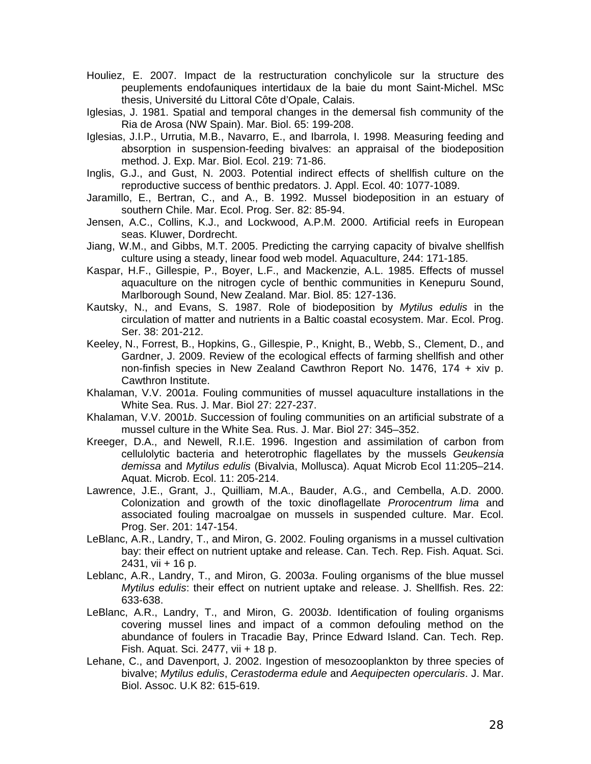- Houliez, E. 2007. Impact de la restructuration conchylicole sur la structure des peuplements endofauniques intertidaux de la baie du mont Saint-Michel. MSc thesis, Université du Littoral Côte d'Opale, Calais.
- Iglesias, J. 1981. Spatial and temporal changes in the demersal fish community of the Ria de Arosa (NW Spain). Mar. Biol. 65: 199-208.
- Iglesias, J.I.P., Urrutia, M.B., Navarro, E., and Ibarrola, I. 1998. Measuring feeding and absorption in suspension-feeding bivalves: an appraisal of the biodeposition method. J. Exp. Mar. Biol. Ecol. 219: 71-86.
- Inglis, G.J., and Gust, N. 2003. Potential indirect effects of shellfish culture on the reproductive success of benthic predators. J. Appl. Ecol. 40: 1077-1089.
- Jaramillo, E., Bertran, C., and A., B. 1992. Mussel biodeposition in an estuary of southern Chile. Mar. Ecol. Prog. Ser. 82: 85-94.
- Jensen, A.C., Collins, K.J., and Lockwood, A.P.M. 2000. Artificial reefs in European seas. Kluwer, Dordrecht.
- Jiang, W.M., and Gibbs, M.T. 2005. Predicting the carrying capacity of bivalve shellfish culture using a steady, linear food web model. Aquaculture, 244: 171-185.
- Kaspar, H.F., Gillespie, P., Boyer, L.F., and Mackenzie, A.L. 1985. Effects of mussel aquaculture on the nitrogen cycle of benthic communities in Kenepuru Sound, Marlborough Sound, New Zealand. Mar. Biol. 85: 127-136.
- Kautsky, N., and Evans, S. 1987. Role of biodeposition by *Mytilus edulis* in the circulation of matter and nutrients in a Baltic coastal ecosystem. Mar. Ecol. Prog. Ser. 38: 201-212.
- Keeley, N., Forrest, B., Hopkins, G., Gillespie, P., Knight, B., Webb, S., Clement, D., and Gardner, J. 2009. Review of the ecological effects of farming shellfish and other non-finfish species in New Zealand Cawthron Report No. 1476, 174 + xiv p. Cawthron Institute.
- Khalaman, V.V. 2001*a*. Fouling communities of mussel aquaculture installations in the White Sea. Rus. J. Mar. Biol 27: 227-237.
- Khalaman, V.V. 2001*b*. Succession of fouling communities on an artificial substrate of a mussel culture in the White Sea. Rus. J. Mar. Biol 27: 345–352.
- Kreeger, D.A., and Newell, R.I.E. 1996. Ingestion and assimilation of carbon from cellulolytic bacteria and heterotrophic flagellates by the mussels *Geukensia demissa* and *Mytilus edulis* (Bivalvia, Mollusca). Aquat Microb Ecol 11:205–214. Aquat. Microb. Ecol. 11: 205-214.
- Lawrence, J.E., Grant, J., Quilliam, M.A., Bauder, A.G., and Cembella, A.D. 2000. Colonization and growth of the toxic dinoflagellate *Prorocentrum lima* and associated fouling macroalgae on mussels in suspended culture. Mar. Ecol. Prog. Ser. 201: 147-154.
- LeBlanc, A.R., Landry, T., and Miron, G. 2002. Fouling organisms in a mussel cultivation bay: their effect on nutrient uptake and release. Can. Tech. Rep. Fish. Aquat. Sci. 2431, vii + 16 p.
- Leblanc, A.R., Landry, T., and Miron, G. 2003*a*. Fouling organisms of the blue mussel *Mytilus edulis*: their effect on nutrient uptake and release. J. Shellfish. Res. 22: 633-638.
- LeBlanc, A.R., Landry, T., and Miron, G. 2003*b*. Identification of fouling organisms covering mussel lines and impact of a common defouling method on the abundance of foulers in Tracadie Bay, Prince Edward Island. Can. Tech. Rep. Fish. Aquat. Sci. 2477, vii + 18 p.
- Lehane, C., and Davenport, J. 2002. Ingestion of mesozooplankton by three species of bivalve; *Mytilus edulis*, *Cerastoderma edule* and *Aequipecten opercularis*. J. Mar. Biol. Assoc. U.K 82: 615-619.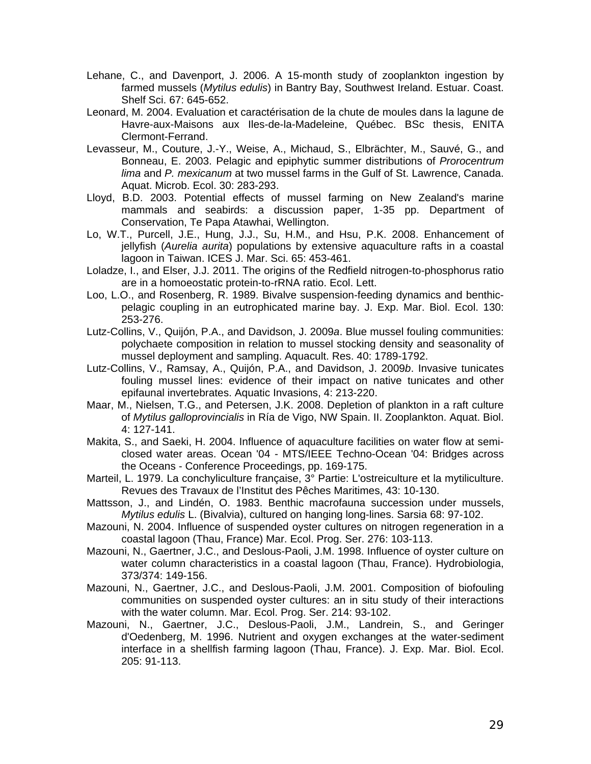- Lehane, C., and Davenport, J. 2006. A 15-month study of zooplankton ingestion by farmed mussels (*Mytilus edulis*) in Bantry Bay, Southwest Ireland. Estuar. Coast. Shelf Sci. 67: 645-652.
- Leonard, M. 2004. Evaluation et caractérisation de la chute de moules dans la lagune de Havre-aux-Maisons aux Iles-de-la-Madeleine, Québec. BSc thesis, ENITA Clermont-Ferrand.
- Levasseur, M., Couture, J.-Y., Weise, A., Michaud, S., Elbrächter, M., Sauvé, G., and Bonneau, E. 2003. Pelagic and epiphytic summer distributions of *Prorocentrum lima* and *P. mexicanum* at two mussel farms in the Gulf of St. Lawrence, Canada. Aquat. Microb. Ecol. 30: 283-293.
- Lloyd, B.D. 2003. Potential effects of mussel farming on New Zealand's marine mammals and seabirds: a discussion paper, 1-35 pp. Department of Conservation, Te Papa Atawhai, Wellington.
- Lo, W.T., Purcell, J.E., Hung, J.J., Su, H.M., and Hsu, P.K. 2008. Enhancement of jellyfish (*Aurelia aurita*) populations by extensive aquaculture rafts in a coastal lagoon in Taiwan. ICES J. Mar. Sci. 65: 453-461.
- Loladze, I., and Elser, J.J. 2011. The origins of the Redfield nitrogen-to-phosphorus ratio are in a homoeostatic protein-to-rRNA ratio. Ecol. Lett.
- Loo, L.O., and Rosenberg, R. 1989. Bivalve suspension-feeding dynamics and benthicpelagic coupling in an eutrophicated marine bay. J. Exp. Mar. Biol. Ecol. 130: 253-276.
- Lutz-Collins, V., Quijón, P.A., and Davidson, J. 2009*a*. Blue mussel fouling communities: polychaete composition in relation to mussel stocking density and seasonality of mussel deployment and sampling. Aquacult. Res. 40: 1789-1792.
- Lutz-Collins, V., Ramsay, A., Quijón, P.A., and Davidson, J. 2009*b*. Invasive tunicates fouling mussel lines: evidence of their impact on native tunicates and other epifaunal invertebrates. Aquatic Invasions, 4: 213-220.
- Maar, M., Nielsen, T.G., and Petersen, J.K. 2008. Depletion of plankton in a raft culture of *Mytilus galloprovincialis* in Ría de Vigo, NW Spain. II. Zooplankton. Aquat. Biol. 4: 127-141.
- Makita, S., and Saeki, H. 2004. Influence of aquaculture facilities on water flow at semiclosed water areas. Ocean '04 - MTS/IEEE Techno-Ocean '04: Bridges across the Oceans - Conference Proceedings, pp. 169-175.
- Marteil, L. 1979. La conchyliculture française, 3° Partie: L'ostreiculture et la mytiliculture. Revues des Travaux de l'Institut des Pêches Maritimes, 43: 10-130.
- Mattsson, J., and Lindén, O. 1983. Benthic macrofauna succession under mussels, *Mytilus edulis* L. (Bivalvia), cultured on hanging long-lines. Sarsia 68: 97-102.
- Mazouni, N. 2004. Influence of suspended oyster cultures on nitrogen regeneration in a coastal lagoon (Thau, France) Mar. Ecol. Prog. Ser. 276: 103-113.
- Mazouni, N., Gaertner, J.C., and Deslous-Paoli, J.M. 1998. Influence of oyster culture on water column characteristics in a coastal lagoon (Thau, France). Hydrobiologia, 373/374: 149-156.
- Mazouni, N., Gaertner, J.C., and Deslous-Paoli, J.M. 2001. Composition of biofouling communities on suspended oyster cultures: an in situ study of their interactions with the water column. Mar. Ecol. Prog. Ser. 214: 93-102.
- Mazouni, N., Gaertner, J.C., Deslous-Paoli, J.M., Landrein, S., and Geringer d'Oedenberg, M. 1996. Nutrient and oxygen exchanges at the water-sediment interface in a shellfish farming lagoon (Thau, France). J. Exp. Mar. Biol. Ecol. 205: 91-113.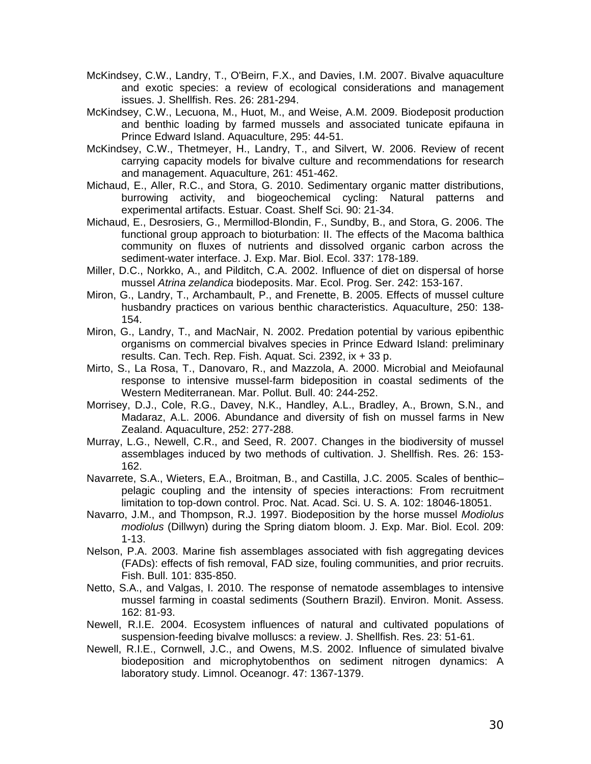- McKindsey, C.W., Landry, T., O'Beirn, F.X., and Davies, I.M. 2007. Bivalve aquaculture and exotic species: a review of ecological considerations and management issues. J. Shellfish. Res. 26: 281-294.
- McKindsey, C.W., Lecuona, M., Huot, M., and Weise, A.M. 2009. Biodeposit production and benthic loading by farmed mussels and associated tunicate epifauna in Prince Edward Island. Aquaculture, 295: 44-51.
- McKindsey, C.W., Thetmeyer, H., Landry, T., and Silvert, W. 2006. Review of recent carrying capacity models for bivalve culture and recommendations for research and management. Aquaculture, 261: 451-462.
- Michaud, E., Aller, R.C., and Stora, G. 2010. Sedimentary organic matter distributions, burrowing activity, and biogeochemical cycling: Natural patterns and experimental artifacts. Estuar. Coast. Shelf Sci. 90: 21-34.
- Michaud, E., Desrosiers, G., Mermillod-Blondin, F., Sundby, B., and Stora, G. 2006. The functional group approach to bioturbation: II. The effects of the Macoma balthica community on fluxes of nutrients and dissolved organic carbon across the sediment-water interface. J. Exp. Mar. Biol. Ecol. 337: 178-189.
- Miller, D.C., Norkko, A., and Pilditch, C.A. 2002. Influence of diet on dispersal of horse mussel *Atrina zelandica* biodeposits. Mar. Ecol. Prog. Ser. 242: 153-167.
- Miron, G., Landry, T., Archambault, P., and Frenette, B. 2005. Effects of mussel culture husbandry practices on various benthic characteristics. Aquaculture, 250: 138- 154.
- Miron, G., Landry, T., and MacNair, N. 2002. Predation potential by various epibenthic organisms on commercial bivalves species in Prince Edward Island: preliminary results. Can. Tech. Rep. Fish. Aquat. Sci. 2392, ix + 33 p.
- Mirto, S., La Rosa, T., Danovaro, R., and Mazzola, A. 2000. Microbial and Meiofaunal response to intensive mussel-farm bideposition in coastal sediments of the Western Mediterranean. Mar. Pollut. Bull. 40: 244-252.
- Morrisey, D.J., Cole, R.G., Davey, N.K., Handley, A.L., Bradley, A., Brown, S.N., and Madaraz, A.L. 2006. Abundance and diversity of fish on mussel farms in New Zealand. Aquaculture, 252: 277-288.
- Murray, L.G., Newell, C.R., and Seed, R. 2007. Changes in the biodiversity of mussel assemblages induced by two methods of cultivation. J. Shellfish. Res. 26: 153- 162.
- Navarrete, S.A., Wieters, E.A., Broitman, B., and Castilla, J.C. 2005. Scales of benthic– pelagic coupling and the intensity of species interactions: From recruitment limitation to top-down control. Proc. Nat. Acad. Sci. U. S. A. 102: 18046-18051.
- Navarro, J.M., and Thompson, R.J. 1997. Biodeposition by the horse mussel *Modiolus modiolus* (Dillwyn) during the Spring diatom bloom. J. Exp. Mar. Biol. Ecol. 209: 1-13.
- Nelson, P.A. 2003. Marine fish assemblages associated with fish aggregating devices (FADs): effects of fish removal, FAD size, fouling communities, and prior recruits. Fish. Bull. 101: 835-850.
- Netto, S.A., and Valgas, I. 2010. The response of nematode assemblages to intensive mussel farming in coastal sediments (Southern Brazil). Environ. Monit. Assess. 162: 81-93.
- Newell, R.I.E. 2004. Ecosystem influences of natural and cultivated populations of suspension-feeding bivalve molluscs: a review. J. Shellfish. Res. 23: 51-61.
- Newell, R.I.E., Cornwell, J.C., and Owens, M.S. 2002. Influence of simulated bivalve biodeposition and microphytobenthos on sediment nitrogen dynamics: A laboratory study. Limnol. Oceanogr. 47: 1367-1379.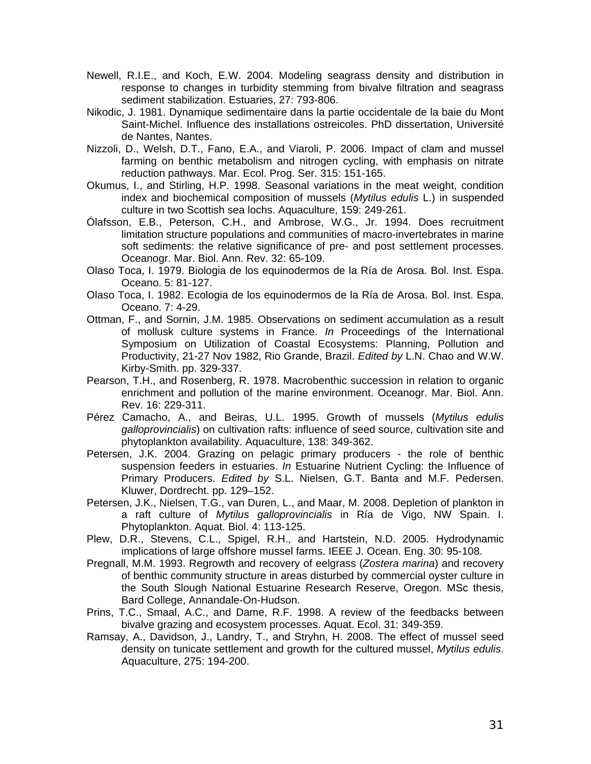- Newell, R.I.E., and Koch, E.W. 2004. Modeling seagrass density and distribution in response to changes in turbidity stemming from bivalve filtration and seagrass sediment stabilization. Estuaries, 27: 793-806.
- Nikodic, J. 1981. Dynamique sedimentaire dans la partie occidentale de la baie du Mont Saint-Michel. Influence des installations ostreicoles. PhD dissertation, Université de Nantes, Nantes.
- Nizzoli, D., Welsh, D.T., Fano, E.A., and Viaroli, P. 2006. Impact of clam and mussel farming on benthic metabolism and nitrogen cycling, with emphasis on nitrate reduction pathways. Mar. Ecol. Prog. Ser. 315: 151-165.
- Okumus, I., and Stirling, H.P. 1998. Seasonal variations in the meat weight, condition index and biochemical composition of mussels (*Mytilus edulis* L.) in suspended culture in two Scottish sea lochs. Aquaculture, 159: 249-261.
- Ólafsson, E.B., Peterson, C.H., and Ambrose, W.G., Jr. 1994. Does recruitment limitation structure populations and communities of macro-invertebrates in marine soft sediments: the relative significance of pre- and post settlement processes. Oceanogr. Mar. Biol. Ann. Rev. 32: 65-109.
- Olaso Toca, I. 1979. Biologia de los equinodermos de la Ría de Arosa. Bol. Inst. Espa. Oceano. 5: 81-127.
- Olaso Toca, I. 1982. Ecologia de los equinodermos de la Ría de Arosa. Bol. Inst. Espa. Oceano. 7: 4-29.
- Ottman, F., and Sornin, J.M. 1985. Observations on sediment accumulation as a result of mollusk culture systems in France. *In* Proceedings of the International Symposium on Utilization of Coastal Ecosystems: Planning, Pollution and Productivity, 21-27 Nov 1982, Rio Grande, Brazil. *Edited by* L.N. Chao and W.W. Kirby-Smith. pp. 329-337.
- Pearson, T.H., and Rosenberg, R. 1978. Macrobenthic succession in relation to organic enrichment and pollution of the marine environment. Oceanogr. Mar. Biol. Ann. Rev. 16: 229-311.
- Pérez Camacho, A., and Beiras, U.L. 1995. Growth of mussels (*Mytilus edulis galloprovincialis*) on cultivation rafts: influence of seed source, cultivation site and phytoplankton availability. Aquaculture, 138: 349-362.
- Petersen, J.K. 2004. Grazing on pelagic primary producers the role of benthic suspension feeders in estuaries. *In* Estuarine Nutrient Cycling: the Influence of Primary Producers. *Edited by* S.L. Nielsen, G.T. Banta and M.F. Pedersen. Kluwer, Dordrecht. pp. 129–152.
- Petersen, J.K., Nielsen, T.G., van Duren, L., and Maar, M. 2008. Depletion of plankton in a raft culture of *Mytilus galloprovincialis* in Ría de Vigo, NW Spain. I. Phytoplankton. Aquat. Biol. 4: 113-125.
- Plew, D.R., Stevens, C.L., Spigel, R.H., and Hartstein, N.D. 2005. Hydrodynamic implications of large offshore mussel farms. IEEE J. Ocean. Eng. 30: 95-108.
- Pregnall, M.M. 1993. Regrowth and recovery of eelgrass (*Zostera marina*) and recovery of benthic community structure in areas disturbed by commercial oyster culture in the South Slough National Estuarine Research Reserve, Oregon. MSc thesis, Bard College, Annandale-On-Hudson.
- Prins, T.C., Smaal, A.C., and Dame, R.F. 1998. A review of the feedbacks between bivalve grazing and ecosystem processes. Aquat. Ecol. 31: 349-359.
- Ramsay, A., Davidson, J., Landry, T., and Stryhn, H. 2008. The effect of mussel seed density on tunicate settlement and growth for the cultured mussel, *Mytilus edulis*. Aquaculture, 275: 194-200.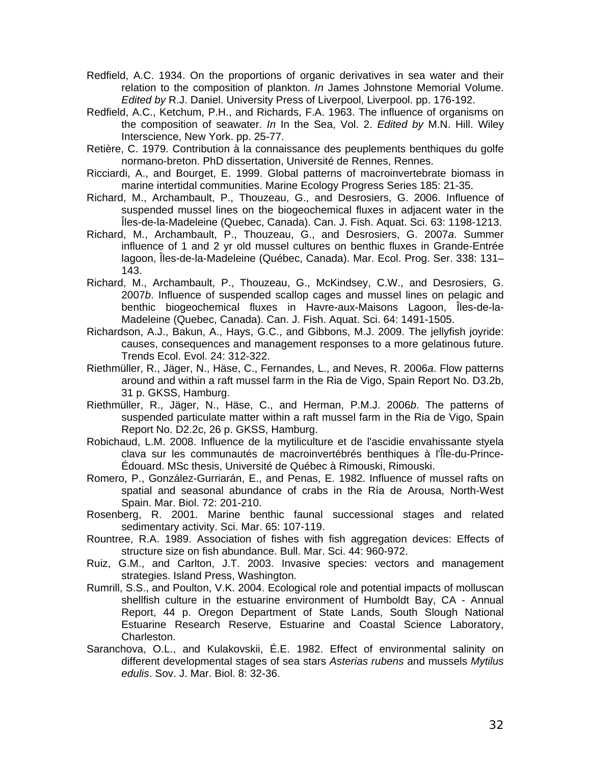- Redfield, A.C. 1934. On the proportions of organic derivatives in sea water and their relation to the composition of plankton. *In* James Johnstone Memorial Volume. *Edited by* R.J. Daniel. University Press of Liverpool, Liverpool. pp. 176-192.
- Redfield, A.C., Ketchum, P.H., and Richards, F.A. 1963. The influence of organisms on the composition of seawater. *In* In the Sea, Vol. 2. *Edited by* M.N. Hill. Wiley Interscience, New York. pp. 25-77.
- Retière, C. 1979. Contribution à la connaissance des peuplements benthiques du golfe normano-breton. PhD dissertation, Université de Rennes, Rennes.
- Ricciardi, A., and Bourget, E. 1999. Global patterns of macroinvertebrate biomass in marine intertidal communities. Marine Ecology Progress Series 185: 21-35.
- Richard, M., Archambault, P., Thouzeau, G., and Desrosiers, G. 2006. Influence of suspended mussel lines on the biogeochemical fluxes in adjacent water in the Îles-de-la-Madeleine (Quebec, Canada). Can. J. Fish. Aquat. Sci. 63: 1198-1213.
- Richard, M., Archambault, P., Thouzeau, G., and Desrosiers, G. 2007*a*. Summer influence of 1 and 2 yr old mussel cultures on benthic fluxes in Grande-Entrée lagoon, Îles-de-la-Madeleine (Québec, Canada). Mar. Ecol. Prog. Ser. 338: 131– 143.
- Richard, M., Archambault, P., Thouzeau, G., McKindsey, C.W., and Desrosiers, G. 2007*b*. Influence of suspended scallop cages and mussel lines on pelagic and benthic biogeochemical fluxes in Havre-aux-Maisons Lagoon, Îles-de-la-Madeleine (Quebec, Canada). Can. J. Fish. Aquat. Sci. 64: 1491-1505.
- Richardson, A.J., Bakun, A., Hays, G.C., and Gibbons, M.J. 2009. The jellyfish joyride: causes, consequences and management responses to a more gelatinous future. Trends Ecol. Evol. 24: 312-322.
- Riethmüller, R., Jäger, N., Häse, C., Fernandes, L., and Neves, R. 2006*a*. Flow patterns around and within a raft mussel farm in the Ria de Vigo, Spain Report No. D3.2b, 31 p. GKSS, Hamburg.
- Riethmüller, R., Jäger, N., Häse, C., and Herman, P.M.J. 2006*b*. The patterns of suspended particulate matter within a raft mussel farm in the Ria de Vigo, Spain Report No. D2.2c, 26 p. GKSS, Hamburg.
- Robichaud, L.M. 2008. Influence de la mytiliculture et de l'ascidie envahissante styela clava sur les communautés de macroinvertébrés benthiques à l'Île-du-Prince-Édouard. MSc thesis, Université de Québec à Rimouski, Rimouski.
- Romero, P., González-Gurriarán, E., and Penas, E. 1982. Influence of mussel rafts on spatial and seasonal abundance of crabs in the Ría de Arousa, North-West Spain. Mar. Biol. 72: 201-210.
- Rosenberg, R. 2001. Marine benthic faunal successional stages and related sedimentary activity. Sci. Mar. 65: 107-119.
- Rountree, R.A. 1989. Association of fishes with fish aggregation devices: Effects of structure size on fish abundance. Bull. Mar. Sci. 44: 960-972.
- Ruiz, G.M., and Carlton, J.T. 2003. Invasive species: vectors and management strategies. Island Press, Washington.
- Rumrill, S.S., and Poulton, V.K. 2004. Ecological role and potential impacts of molluscan shellfish culture in the estuarine environment of Humboldt Bay, CA - Annual Report, 44 p. Oregon Department of State Lands, South Slough National Estuarine Research Reserve, Estuarine and Coastal Science Laboratory, Charleston.
- Saranchova, O.L., and Kulakovskii, É.E. 1982. Effect of environmental salinity on different developmental stages of sea stars *Asterias rubens* and mussels *Mytilus edulis*. Sov. J. Mar. Biol. 8: 32-36.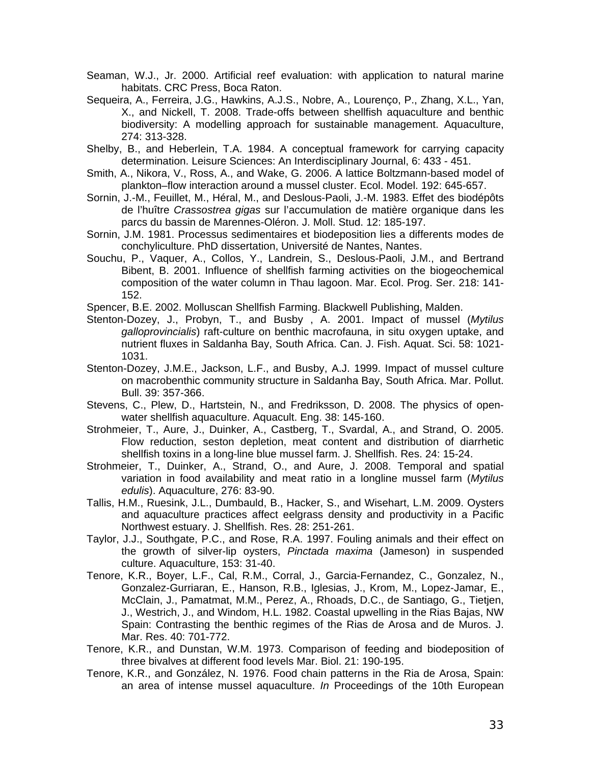- Seaman, W.J., Jr. 2000. Artificial reef evaluation: with application to natural marine habitats. CRC Press, Boca Raton.
- Sequeira, A., Ferreira, J.G., Hawkins, A.J.S., Nobre, A., Lourenço, P., Zhang, X.L., Yan, X., and Nickell, T. 2008. Trade-offs between shellfish aquaculture and benthic biodiversity: A modelling approach for sustainable management. Aquaculture, 274: 313-328.
- Shelby, B., and Heberlein, T.A. 1984. A conceptual framework for carrying capacity determination. Leisure Sciences: An Interdisciplinary Journal, 6: 433 - 451.
- Smith, A., Nikora, V., Ross, A., and Wake, G. 2006. A lattice Boltzmann-based model of plankton–flow interaction around a mussel cluster. Ecol. Model. 192: 645-657.
- Sornin, J.-M., Feuillet, M., Héral, M., and Deslous-Paoli, J.-M. 1983. Effet des biodépôts de l'huître *Crassostrea gigas* sur l'accumulation de matière organique dans les parcs du bassin de Marennes-Oléron. J. Moll. Stud. 12: 185-197.
- Sornin, J.M. 1981. Processus sedimentaires et biodeposition lies a differents modes de conchyliculture. PhD dissertation, Université de Nantes, Nantes.
- Souchu, P., Vaquer, A., Collos, Y., Landrein, S., Deslous-Paoli, J.M., and Bertrand Bibent, B. 2001. Influence of shellfish farming activities on the biogeochemical composition of the water column in Thau lagoon. Mar. Ecol. Prog. Ser. 218: 141- 152.
- Spencer, B.E. 2002. Molluscan Shellfish Farming. Blackwell Publishing, Malden.
- Stenton-Dozey, J., Probyn, T., and Busby , A. 2001. Impact of mussel (*Mytilus galloprovincialis*) raft-culture on benthic macrofauna, in situ oxygen uptake, and nutrient fluxes in Saldanha Bay, South Africa. Can. J. Fish. Aquat. Sci. 58: 1021- 1031.
- Stenton-Dozey, J.M.E., Jackson, L.F., and Busby, A.J. 1999. Impact of mussel culture on macrobenthic community structure in Saldanha Bay, South Africa. Mar. Pollut. Bull. 39: 357-366.
- Stevens, C., Plew, D., Hartstein, N., and Fredriksson, D. 2008. The physics of openwater shellfish aquaculture. Aquacult. Eng. 38: 145-160.
- Strohmeier, T., Aure, J., Duinker, A., Castberg, T., Svardal, A., and Strand, O. 2005. Flow reduction, seston depletion, meat content and distribution of diarrhetic shellfish toxins in a long-line blue mussel farm. J. Shellfish. Res. 24: 15-24.
- Strohmeier, T., Duinker, A., Strand, O., and Aure, J. 2008. Temporal and spatial variation in food availability and meat ratio in a longline mussel farm (*Mytilus edulis*). Aquaculture, 276: 83-90.
- Tallis, H.M., Ruesink, J.L., Dumbauld, B., Hacker, S., and Wisehart, L.M. 2009. Oysters and aquaculture practices affect eelgrass density and productivity in a Pacific Northwest estuary. J. Shellfish. Res. 28: 251-261.
- Taylor, J.J., Southgate, P.C., and Rose, R.A. 1997. Fouling animals and their effect on the growth of silver-lip oysters, *Pinctada maxima* (Jameson) in suspended culture. Aquaculture, 153: 31-40.
- Tenore, K.R., Boyer, L.F., Cal, R.M., Corral, J., Garcia-Fernandez, C., Gonzalez, N., Gonzalez-Gurriaran, E., Hanson, R.B., Iglesias, J., Krom, M., Lopez-Jamar, E., McClain, J., Pamatmat, M.M., Perez, A., Rhoads, D.C., de Santiago, G., Tietjen, J., Westrich, J., and Windom, H.L. 1982. Coastal upwelling in the Rias Bajas, NW Spain: Contrasting the benthic regimes of the Rias de Arosa and de Muros. J. Mar. Res. 40: 701-772.
- Tenore, K.R., and Dunstan, W.M. 1973. Comparison of feeding and biodeposition of three bivalves at different food levels Mar. Biol. 21: 190-195.
- Tenore, K.R., and González, N. 1976. Food chain patterns in the Ria de Arosa, Spain: an area of intense mussel aquaculture. *In* Proceedings of the 10th European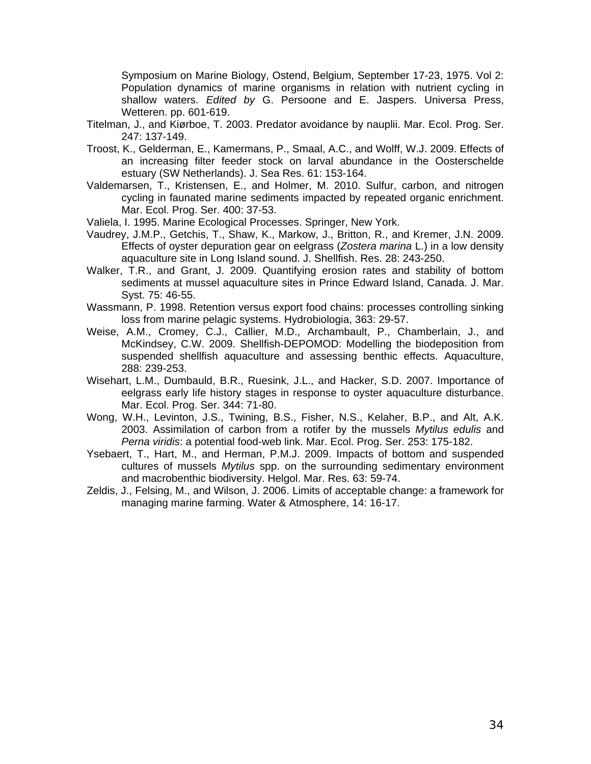Symposium on Marine Biology, Ostend, Belgium, September 17-23, 1975. Vol 2: Population dynamics of marine organisms in relation with nutrient cycling in shallow waters. *Edited by* G. Persoone and E. Jaspers. Universa Press, Wetteren. pp. 601-619.

- Titelman, J., and Kiørboe, T. 2003. Predator avoidance by nauplii. Mar. Ecol. Prog. Ser. 247: 137-149.
- Troost, K., Gelderman, E., Kamermans, P., Smaal, A.C., and Wolff, W.J. 2009. Effects of an increasing filter feeder stock on larval abundance in the Oosterschelde estuary (SW Netherlands). J. Sea Res. 61: 153-164.
- Valdemarsen, T., Kristensen, E., and Holmer, M. 2010. Sulfur, carbon, and nitrogen cycling in faunated marine sediments impacted by repeated organic enrichment. Mar. Ecol. Prog. Ser. 400: 37-53.
- Valiela, I. 1995. Marine Ecological Processes. Springer, New York.
- Vaudrey, J.M.P., Getchis, T., Shaw, K., Markow, J., Britton, R., and Kremer, J.N. 2009. Effects of oyster depuration gear on eelgrass (*Zostera marina* L.) in a low density aquaculture site in Long Island sound. J. Shellfish. Res. 28: 243-250.
- Walker, T.R., and Grant, J. 2009. Quantifying erosion rates and stability of bottom sediments at mussel aquaculture sites in Prince Edward Island, Canada. J. Mar. Syst. 75: 46-55.
- Wassmann, P. 1998. Retention versus export food chains: processes controlling sinking loss from marine pelagic systems. Hydrobiologia, 363: 29-57.
- Weise, A.M., Cromey, C.J., Callier, M.D., Archambault, P., Chamberlain, J., and McKindsey, C.W. 2009. Shellfish-DEPOMOD: Modelling the biodeposition from suspended shellfish aquaculture and assessing benthic effects. Aquaculture, 288: 239-253.
- Wisehart, L.M., Dumbauld, B.R., Ruesink, J.L., and Hacker, S.D. 2007. Importance of eelgrass early life history stages in response to oyster aquaculture disturbance. Mar. Ecol. Prog. Ser. 344: 71-80.
- Wong, W.H., Levinton, J.S., Twining, B.S., Fisher, N.S., Kelaher, B.P., and Alt, A.K. 2003. Assimilation of carbon from a rotifer by the mussels *Mytilus edulis* and *Perna viridis*: a potential food-web link. Mar. Ecol. Prog. Ser. 253: 175-182.
- Ysebaert, T., Hart, M., and Herman, P.M.J. 2009. Impacts of bottom and suspended cultures of mussels *Mytilus* spp. on the surrounding sedimentary environment and macrobenthic biodiversity. Helgol. Mar. Res. 63: 59-74.
- Zeldis, J., Felsing, M., and Wilson, J. 2006. Limits of acceptable change: a framework for managing marine farming. Water & Atmosphere, 14: 16-17.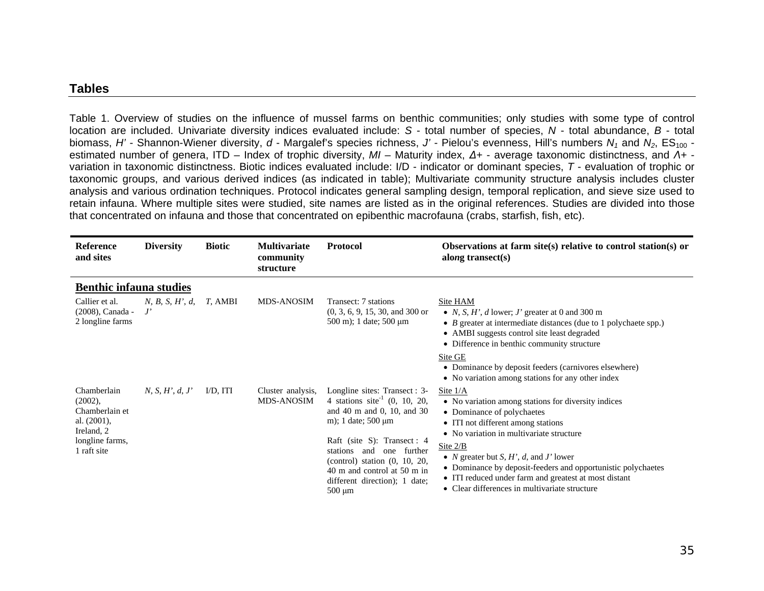#### **Tables**

Table 1. Overview of studies on the influence of mussel farms on benthic communities; only studies with some type of control location are included. Univariate diversity indices evaluated include: *S* - total number of species, *N* - total abundance, *B* - total biomass, *H'* - Shannon-Wiener diversity, *d* - Margalef's species richness, *J'* - Pielou's evenness, Hill's numbers  $N_1$  and  $N_2$ , ES<sub>100</sub> estimated number of genera, ITD – Index of trophic diversity, *MI* – Maturity index, *Δ<sup>+</sup>* - average taxonomic distinctness, and *Λ<sup>+</sup>* variation in taxonomic distinctness. Biotic indices evaluated include: I/D - indicator or dominant species, *T* - evaluation of trophic or taxonomic groups, and various derived indices (as indicated in table); Multivariate community structure analysis includes cluster analysis and various ordination techniques. Protocol indicates general sampling design, temporal replication, and sieve size used to retain infauna. Where multiple sites were studied, site names are listed as in the original references. Studies are divided into those that concentrated on infauna and those that concentrated on epibenthic macrofauna (crabs, starfish, fish, etc).

| <b>Reference</b><br>and sites                                                                              | <b>Diversity</b> | <b>Biotic</b> | <b>Multivariate</b><br>community<br>structure | <b>Protocol</b>                                                                                                                                                                                                                                                                                                        | Observations at farm site(s) relative to control station(s) or<br>along transect $(s)$                                                                                                                                                                                                                                                                                                                                                                    |
|------------------------------------------------------------------------------------------------------------|------------------|---------------|-----------------------------------------------|------------------------------------------------------------------------------------------------------------------------------------------------------------------------------------------------------------------------------------------------------------------------------------------------------------------------|-----------------------------------------------------------------------------------------------------------------------------------------------------------------------------------------------------------------------------------------------------------------------------------------------------------------------------------------------------------------------------------------------------------------------------------------------------------|
| <b>Benthic infauna studies</b>                                                                             |                  |               |                                               |                                                                                                                                                                                                                                                                                                                        |                                                                                                                                                                                                                                                                                                                                                                                                                                                           |
| Callier et al.<br>(2008), Canada -<br>2 longline farms                                                     | N, B, S, H', d   | T, AMBI       | <b>MDS-ANOSIM</b>                             | Transect: 7 stations<br>$(0, 3, 6, 9, 15, 30, and 300$ or<br>500 m); 1 date; 500 $\mu$ m                                                                                                                                                                                                                               | Site HAM<br>• N, S, H', d lower; J' greater at 0 and 300 m<br>$\bullet$ <i>B</i> greater at intermediate distances (due to 1 polychaete spp.)<br>• AMBI suggests control site least degraded<br>• Difference in benthic community structure<br>Site GE<br>• Dominance by deposit feeders (carnivores elsewhere)<br>• No variation among stations for any other index                                                                                      |
| Chamberlain<br>(2002),<br>Chamberlain et<br>al. $(2001)$ ,<br>Ireland, 2<br>longline farms,<br>1 raft site | N, S, H', d, J'  | $ID, ITI$     | Cluster analysis,<br><b>MDS-ANOSIM</b>        | Longline sites: Transect : 3-<br>4 stations site <sup>-1</sup> (0, 10, 20,<br>and 40 m and 0, 10, and 30<br>m); 1 date; $500 \mu m$<br>Raft (site S): Transect : 4<br>stations<br>one further<br>and<br>(control) station $(0, 10, 20,$<br>40 m and control at 50 m in<br>different direction); 1 date;<br>$500 \mu m$ | Site $1/A$<br>• No variation among stations for diversity indices<br>• Dominance of polychaetes<br>• ITI not different among stations<br>• No variation in multivariate structure<br>Site $2/B$<br>• <i>N</i> greater but <i>S</i> , <i>H'</i> , <i>d</i> , and <i>J'</i> lower<br>• Dominance by deposit-feeders and opportunistic polychaetes<br>• ITI reduced under farm and greatest at most distant<br>• Clear differences in multivariate structure |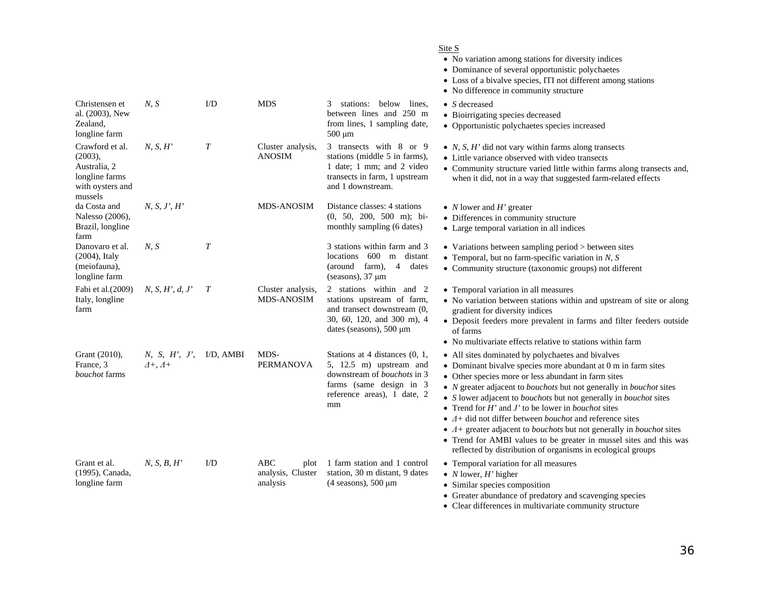|                                                                                             |                                                       |                  |                                              |                                                                                                                                                                  | Site S<br>• No variation among stations for diversity indices<br>• Dominance of several opportunistic polychaetes<br>• Loss of a bivalve species, ITI not different among stations<br>• No difference in community structure                                                                                                                                                                                                                                                                                                                                                                                                                                                                                                      |
|---------------------------------------------------------------------------------------------|-------------------------------------------------------|------------------|----------------------------------------------|------------------------------------------------------------------------------------------------------------------------------------------------------------------|-----------------------------------------------------------------------------------------------------------------------------------------------------------------------------------------------------------------------------------------------------------------------------------------------------------------------------------------------------------------------------------------------------------------------------------------------------------------------------------------------------------------------------------------------------------------------------------------------------------------------------------------------------------------------------------------------------------------------------------|
| Christensen et<br>al. (2003), New<br>Zealand,<br>longline farm                              | N, S                                                  | $1/D$            | <b>MDS</b>                                   | 3 stations: below lines,<br>between lines and 250 m<br>from lines, 1 sampling date,<br>$500 \mu m$                                                               | $\bullet$ S decreased<br>• Bioirrigating species decreased<br>• Opportunistic polychaetes species increased                                                                                                                                                                                                                                                                                                                                                                                                                                                                                                                                                                                                                       |
| Crawford et al.<br>(2003),<br>Australia, 2<br>longline farms<br>with oysters and<br>mussels | N, S, H'                                              | $\boldsymbol{T}$ | Cluster analysis,<br><b>ANOSIM</b>           | 3 transects with 8 or 9<br>stations (middle 5 in farms),<br>1 date; 1 mm; and 2 video<br>transects in farm, 1 upstream<br>and 1 downstream.                      | • $N$ , S, H' did not vary within farms along transects<br>• Little variance observed with video transects<br>• Community structure varied little within farms along transects and,<br>when it did, not in a way that suggested farm-related effects                                                                                                                                                                                                                                                                                                                                                                                                                                                                              |
| da Costa and<br>Nalesso (2006),<br>Brazil, longline<br>farm                                 | N, S, J', H'                                          |                  | <b>MDS-ANOSIM</b>                            | Distance classes: 4 stations<br>$(0, 50, 200, 500 m)$ ; bi-<br>monthly sampling (6 dates)                                                                        | • $N$ lower and $H'$ greater<br>• Differences in community structure<br>• Large temporal variation in all indices                                                                                                                                                                                                                                                                                                                                                                                                                                                                                                                                                                                                                 |
| Danovaro et al.<br>$(2004)$ , Italy<br>(meiofauna),<br>longline farm                        | N, S                                                  | $\boldsymbol{T}$ |                                              | 3 stations within farm and 3<br>locations 600<br>distant<br>m<br>(around farm),<br>$\overline{4}$<br>dates<br>(seasons), $37 \mu m$                              | • Variations between sampling period > between sites<br>• Temporal, but no farm-specific variation in $N$ , $S$<br>• Community structure (taxonomic groups) not different                                                                                                                                                                                                                                                                                                                                                                                                                                                                                                                                                         |
| Fabi et al. (2009)<br>Italy, longline<br>farm                                               | N, S, H', d, J'                                       | $\boldsymbol{T}$ | Cluster analysis,<br><b>MDS-ANOSIM</b>       | 2 stations within and 2<br>stations upstream of farm,<br>and transect downstream (0,<br>30, 60, 120, and 300 m), 4<br>dates (seasons), $500 \mu m$               | • Temporal variation in all measures<br>• No variation between stations within and upstream of site or along<br>gradient for diversity indices<br>• Deposit feeders more prevalent in farms and filter feeders outside<br>of farms<br>• No multivariate effects relative to stations within farm                                                                                                                                                                                                                                                                                                                                                                                                                                  |
| Grant (2010),<br>France, 3<br>bouchot farms                                                 | N, S, H', J', $I/D$ , AMBI<br>$\Delta +$ , $\Delta +$ |                  | MDS-<br><b>PERMANOVA</b>                     | Stations at 4 distances (0, 1,<br>5, 12.5 m) upstream and<br>downstream of <i>bouchots</i> in 3<br>farms (same design in 3)<br>reference areas), 1 date, 2<br>mm | • All sites dominated by polychaetes and bivalves<br>• Dominant bivalve species more abundant at 0 m in farm sites<br>• Other species more or less abundant in farm sites<br>• <i>N</i> greater adjacent to <i>bouchots</i> but not generally in <i>bouchot</i> sites<br>• S lower adjacent to <i>bouchots</i> but not generally in <i>bouchot</i> sites<br>• Trend for $H'$ and $J'$ to be lower in <i>bouchot</i> sites<br>• $\Delta$ + did not differ between <i>bouchot</i> and reference sites<br>• $A$ + greater adjacent to <i>bouchots</i> but not generally in <i>bouchot</i> sites<br>• Trend for AMBI values to be greater in mussel sites and this was<br>reflected by distribution of organisms in ecological groups |
| Grant et al.<br>(1995), Canada,<br>longline farm                                            | N, S, B, H'                                           | $\rm I/D$        | ABC<br>plot<br>analysis, Cluster<br>analysis | 1 farm station and 1 control<br>station, 30 m distant, 9 dates<br>$(4$ seasons), 500 $\mu$ m                                                                     | • Temporal variation for all measures<br>• <i>N</i> lower, <i>H</i> ' higher<br>• Similar species composition<br>• Greater abundance of predatory and scavenging species<br>• Clear differences in multivariate community structure                                                                                                                                                                                                                                                                                                                                                                                                                                                                                               |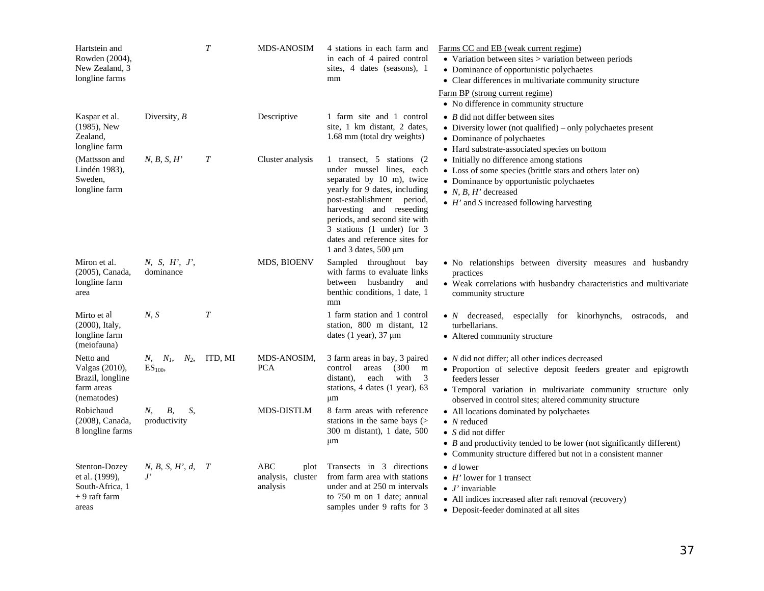| Hartstein and<br>Rowden (2004),<br>New Zealand, 3<br>longline farms          |                                          | $\boldsymbol{T}$ | <b>MDS-ANOSIM</b>                            | 4 stations in each farm and<br>in each of 4 paired control<br>sites, 4 dates (seasons), 1<br>mm                                                                                                                                                                                                              | Farms CC and EB (weak current regime)<br>$\bullet$ Variation between sites $>$ variation between periods<br>• Dominance of opportunistic polychaetes<br>• Clear differences in multivariate community structure                                                                |
|------------------------------------------------------------------------------|------------------------------------------|------------------|----------------------------------------------|--------------------------------------------------------------------------------------------------------------------------------------------------------------------------------------------------------------------------------------------------------------------------------------------------------------|--------------------------------------------------------------------------------------------------------------------------------------------------------------------------------------------------------------------------------------------------------------------------------|
|                                                                              |                                          |                  |                                              |                                                                                                                                                                                                                                                                                                              | Farm BP (strong current regime)<br>• No difference in community structure                                                                                                                                                                                                      |
| Kaspar et al.<br>$(1985)$ , New<br>Zealand,<br>longline farm                 | Diversity, $B$                           |                  | Descriptive                                  | 1 farm site and 1 control<br>site, 1 km distant, 2 dates,<br>1.68 mm (total dry weights)                                                                                                                                                                                                                     | $\bullet$ <i>B</i> did not differ between sites<br>• Diversity lower (not qualified) – only polychaetes present<br>• Dominance of polychaetes<br>• Hard substrate-associated species on bottom                                                                                 |
| (Mattsson and<br>Lindén 1983),<br>Sweden.<br>longline farm                   | N, B, S, H'                              | $\, T \,$        | Cluster analysis                             | 1 transect, 5 stations (2)<br>under mussel lines, each<br>separated by 10 m), twice<br>yearly for 9 dates, including<br>post-establishment period,<br>harvesting and reseeding<br>periods, and second site with<br>3 stations (1 under) for 3<br>dates and reference sites for<br>1 and 3 dates, $500 \mu m$ | • Initially no difference among stations<br>• Loss of some species (brittle stars and others later on)<br>• Dominance by opportunistic polychaetes<br>• $N, B, H'$ decreased<br>$\bullet$ H' and S increased following harvesting                                              |
| Miron et al.<br>(2005), Canada,<br>longline farm<br>area                     | N, S, H', J',<br>dominance               |                  | MDS, BIOENV                                  | Sampled throughout<br>bay<br>with farms to evaluate links<br>between husbandry<br>and<br>benthic conditions, 1 date, 1<br>mm                                                                                                                                                                                 | · No relationships between diversity measures and husbandry<br>practices<br>• Weak correlations with husbandry characteristics and multivariate<br>community structure                                                                                                         |
| Mirto et al<br>$(2000)$ , Italy,<br>longline farm<br>(meiofauna)             | N, S                                     | $\boldsymbol{T}$ |                                              | 1 farm station and 1 control<br>station, 800 m distant, 12<br>dates $(1 \text{ year})$ , 37 $\mu$ m                                                                                                                                                                                                          | • $N$ decreased,<br>especially for kinorhynchs,<br>ostracods,<br>and<br>turbellarians.<br>• Altered community structure                                                                                                                                                        |
| Netto and<br>Valgas (2010),<br>Brazil, longline<br>farm areas<br>(nematodes) | $N, N_I$<br>$N_2$ ,<br>ES <sub>100</sub> | ITD, MI          | MDS-ANOSIM.<br><b>PCA</b>                    | 3 farm areas in bay, 3 paired<br>(300)<br>control<br>areas<br>m<br>with<br>3<br>distant),<br>each<br>stations, 4 dates (1 year), 63<br>μm                                                                                                                                                                    | $\bullet$ <i>N</i> did not differ; all other indices decreased<br>· Proportion of selective deposit feeders greater and epigrowth<br>feeders lesser<br>· Temporal variation in multivariate community structure only<br>observed in control sites; altered community structure |
| Robichaud<br>(2008), Canada,<br>8 longline farms                             | S,<br>B,<br>$N_{\rm{r}}$<br>productivity |                  | <b>MDS-DISTLM</b>                            | 8 farm areas with reference<br>stations in the same bays $($<br>300 m distant), 1 date, 500<br>μm                                                                                                                                                                                                            | • All locations dominated by polychaetes<br>$\bullet$ N reduced<br>• $S$ did not differ<br>$\bullet$ <i>B</i> and productivity tended to be lower (not significantly different)<br>• Community structure differed but not in a consistent manner                               |
| Stenton-Dozey<br>et al. (1999),<br>South-Africa, 1<br>+ 9 raft farm<br>areas | N, B, S, H', d, T<br>$J^{\prime}$        |                  | ABC<br>plot<br>analysis, cluster<br>analysis | Transects in 3 directions<br>from farm area with stations<br>under and at 250 m intervals<br>to 750 m on 1 date; annual<br>samples under 9 rafts for 3                                                                                                                                                       | $\bullet$ d lower<br>$\bullet$ H' lower for 1 transect<br>$\bullet$ <i>J'</i> invariable<br>• All indices increased after raft removal (recovery)<br>• Deposit-feeder dominated at all sites                                                                                   |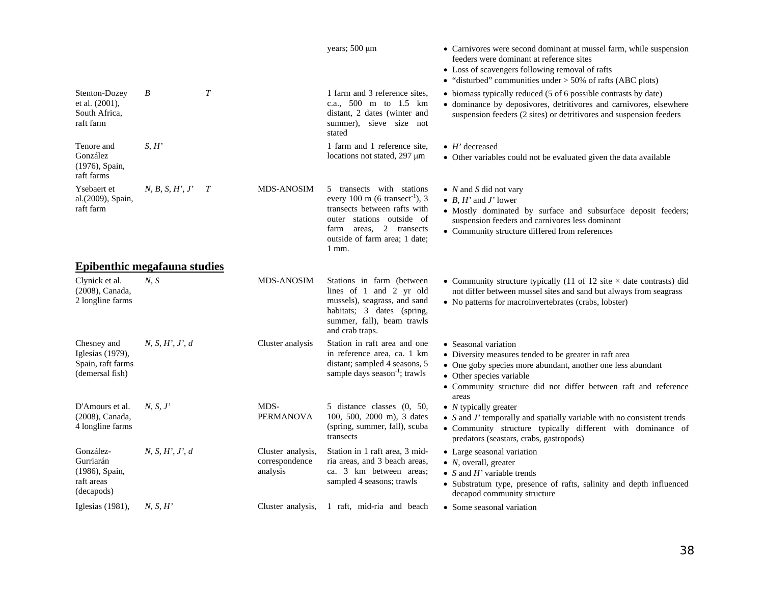|                                                                         |                                          |                |                                                                                                                                                                                                             | years; 500 µm                                                                                                                                                                                                                                     | • Carnivores were second dominant at mussel farm, while suspension<br>feeders were dominant at reference sites<br>• Loss of scavengers following removal of rafts<br>• "disturbed" communities under $>$ 50% of rafts (ABC plots)                     |
|-------------------------------------------------------------------------|------------------------------------------|----------------|-------------------------------------------------------------------------------------------------------------------------------------------------------------------------------------------------------------|---------------------------------------------------------------------------------------------------------------------------------------------------------------------------------------------------------------------------------------------------|-------------------------------------------------------------------------------------------------------------------------------------------------------------------------------------------------------------------------------------------------------|
| Stenton-Dozey<br>et al. (2001),<br>South Africa,<br>raft farm           | B                                        | $\overline{T}$ |                                                                                                                                                                                                             | 1 farm and 3 reference sites,<br>c.a., 500 m to 1.5 km<br>distant, 2 dates (winter and<br>summer), sieve size not<br>stated                                                                                                                       | • biomass typically reduced (5 of 6 possible contrasts by date)<br>• dominance by deposivores, detritivores and carnivores, elsewhere<br>suspension feeders (2 sites) or detritivores and suspension feeders                                          |
| Tenore and<br>González<br>(1976), Spain,<br>raft farms                  | S, H'                                    |                |                                                                                                                                                                                                             | 1 farm and 1 reference site,<br>locations not stated, 297 µm                                                                                                                                                                                      | $\bullet$ H' decreased<br>• Other variables could not be evaluated given the data available                                                                                                                                                           |
| Ysebaert et<br>al.(2009), Spain,<br>raft farm                           | $N, B, S, H', J'$ T<br><b>MDS-ANOSIM</b> |                | 5 transects with stations<br>every 100 m (6 transect <sup>-1</sup> ), 3<br>transects between rafts with<br>outer stations outside of<br>farm areas, 2 transects<br>outside of farm area; 1 date;<br>$1$ mm. | $\bullet$ <i>N</i> and <i>S</i> did not vary<br>• $B$ , $H'$ and $J'$ lower<br>· Mostly dominated by surface and subsurface deposit feeders;<br>suspension feeders and carnivores less dominant<br>• Community structure differed from references |                                                                                                                                                                                                                                                       |
| <b>Epibenthic megafauna studies</b>                                     |                                          |                |                                                                                                                                                                                                             |                                                                                                                                                                                                                                                   |                                                                                                                                                                                                                                                       |
| Clynick et al.<br>(2008), Canada,<br>2 longline farms                   | N, S                                     |                | <b>MDS-ANOSIM</b>                                                                                                                                                                                           | Stations in farm (between<br>lines of 1 and 2 yr old<br>mussels), seagrass, and sand<br>habitats; 3 dates (spring,<br>summer, fall), beam trawls<br>and crab traps.                                                                               | • Community structure typically (11 of 12 site $\times$ date contrasts) did<br>not differ between mussel sites and sand but always from seagrass<br>• No patterns for macroinvertebrates (crabs, lobster)                                             |
| Chesney and<br>Iglesias (1979),<br>Spain, raft farms<br>(demersal fish) | N, S, H', J', d                          |                | Cluster analysis                                                                                                                                                                                            | Station in raft area and one<br>in reference area, ca. 1 km<br>distant; sampled 4 seasons, 5<br>sample days season <sup>-1</sup> ; trawls                                                                                                         | • Seasonal variation<br>• Diversity measures tended to be greater in raft area<br>• One goby species more abundant, another one less abundant<br>• Other species variable<br>• Community structure did not differ between raft and reference<br>areas |
| D'Amours et al.<br>(2008), Canada,<br>4 longline farms                  | N, S, J'                                 |                | MDS-<br><b>PERMANOVA</b>                                                                                                                                                                                    | 5 distance classes (0, 50,<br>100, 500, 2000 m), 3 dates<br>(spring, summer, fall), scuba<br>transects                                                                                                                                            | $\bullet$ <i>N</i> typically greater<br>• $S$ and $J'$ temporally and spatially variable with no consistent trends<br>· Community structure typically different with dominance of<br>predators (seastars, crabs, gastropods)                          |
| González-<br>Gurriarán<br>(1986), Spain,<br>raft areas<br>(decapods)    | N, S, H', J', d                          |                | Cluster analysis,<br>correspondence<br>analysis                                                                                                                                                             | Station in 1 raft area, 3 mid-<br>ria areas, and 3 beach areas,<br>ca. 3 km between areas;<br>sampled 4 seasons; trawls                                                                                                                           | • Large seasonal variation<br>• $N$ , overall, greater<br>• S and $H'$ variable trends<br>• Substratum type, presence of rafts, salinity and depth influenced<br>decapod community structure                                                          |
| Iglesias $(1981)$ ,                                                     | N, S, H'                                 |                | Cluster analysis,                                                                                                                                                                                           | 1 raft, mid-ria and beach                                                                                                                                                                                                                         | • Some seasonal variation                                                                                                                                                                                                                             |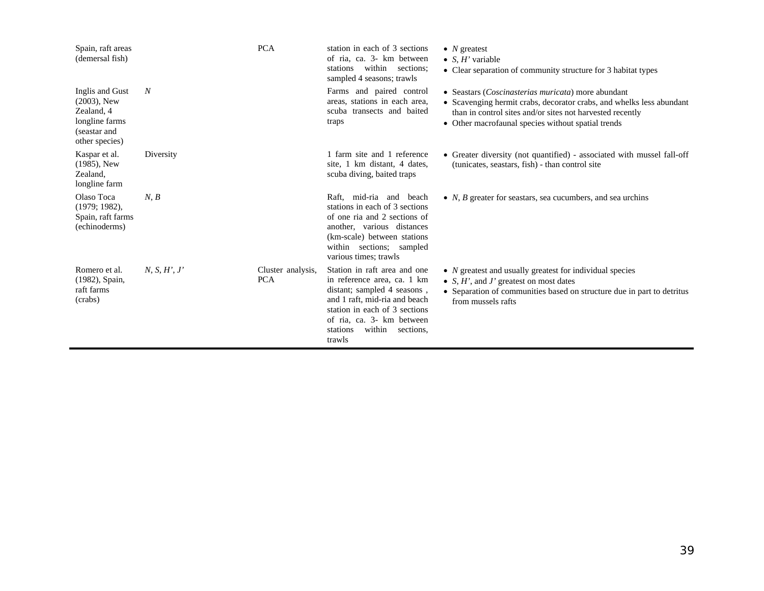| Spain, raft areas<br>(demersal fish)                                                                |              | <b>PCA</b>                      | station in each of 3 sections<br>of ria, ca. 3- km between<br>stations within sections;<br>sampled 4 seasons; trawls                                                                                                                   | • $N$ greatest<br>• $S, H'$ variable<br>• Clear separation of community structure for 3 habitat types                                                                                                                                                  |
|-----------------------------------------------------------------------------------------------------|--------------|---------------------------------|----------------------------------------------------------------------------------------------------------------------------------------------------------------------------------------------------------------------------------------|--------------------------------------------------------------------------------------------------------------------------------------------------------------------------------------------------------------------------------------------------------|
| Inglis and Gust<br>$(2003)$ , New<br>Zealand, 4<br>longline farms<br>(seastar and<br>other species) | N            |                                 | Farms and paired control<br>areas, stations in each area,<br>scuba transects and baited<br>traps                                                                                                                                       | • Seastars ( <i>Coscinasterias muricata</i> ) more abundant<br>• Scavenging hermit crabs, decorator crabs, and whelks less abundant<br>than in control sites and/or sites not harvested recently<br>• Other macrofaunal species without spatial trends |
| Kaspar et al.<br>$(1985)$ , New<br>Zealand,<br>longline farm                                        | Diversity    |                                 | 1 farm site and 1 reference<br>site, 1 km distant, 4 dates,<br>scuba diving, baited traps                                                                                                                                              | • Greater diversity (not quantified) - associated with mussel fall-off<br>(tunicates, seastars, fish) - than control site                                                                                                                              |
| Olaso Toca<br>$(1979; 1982)$ ,<br>Spain, raft farms<br>(echinoderms)                                | N, B         |                                 | Raft, mid-ria and<br>beach<br>stations in each of 3 sections<br>of one ria and 2 sections of<br>another, various distances<br>(km-scale) between stations<br>within sections; sampled<br>various times: trawls                         | • $N$ , $B$ greater for seastars, sea cucumbers, and sea urchins                                                                                                                                                                                       |
| Romero et al.<br>(1982), Spain,<br>raft farms<br>(crabs)                                            | N, S, H', J' | Cluster analysis,<br><b>PCA</b> | Station in raft area and one<br>in reference area, ca. 1 km<br>distant; sampled 4 seasons,<br>and 1 raft, mid-ria and beach<br>station in each of 3 sections<br>of ria, ca. 3- km between<br>within<br>stations<br>sections,<br>trawls | $\bullet$ <i>N</i> greatest and usually greatest for individual species<br>• S, $H'$ , and $J'$ greatest on most dates<br>• Separation of communities based on structure due in part to detritus<br>from mussels rafts                                 |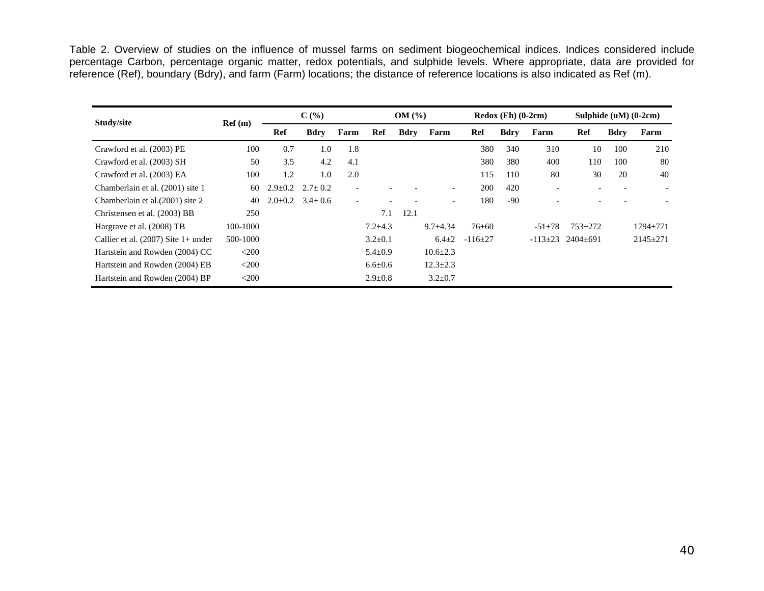Table 2. Overview of studies on the influence of mussel farms on sediment biogeochemical indices. Indices considered include percentage Carbon, percentage organic matter, redox potentials, and sulphide levels. Where appropriate, data are provided for reference (Ref), boundary (Bdry), and farm (Farm) locations; the distance of reference locations is also indicated as Ref (m).

| Study/site                            | Ref(m)   | $C(\%)$       |                           | OM(%)                    |               | $Redox$ (Eh) (0-2cm) |                          |              | Sulphide $(uM)$ $(0-2cm)$ |                          |                             |             |                          |
|---------------------------------------|----------|---------------|---------------------------|--------------------------|---------------|----------------------|--------------------------|--------------|---------------------------|--------------------------|-----------------------------|-------------|--------------------------|
|                                       |          | Ref           | <b>Bdry</b>               | Farm                     | Ref           | <b>Bdry</b>          | Farm                     | Ref          | <b>Bdry</b>               | Farm                     | Ref                         | <b>Bdry</b> | Farm                     |
| Crawford et al. (2003) PE             | 100      | 0.7           | 1.0                       | 1.8                      |               |                      |                          | 380          | 340                       | 310                      | 10                          | 100         | 210                      |
| Crawford et al. (2003) SH             | 50       | 3.5           | 4.2                       | 4.1                      |               |                      |                          | 380          | 380                       | 400                      | 110                         | 100         | 80                       |
| Crawford et al. (2003) EA             | 100      | 1.2           | 1.0                       | 2.0                      |               |                      |                          | 115          | 110                       | 80                       | 30                          | 20          | 40                       |
| Chamberlain et al. (2001) site 1      | 60       | $2.9 \pm 0.2$ | $2.7 \pm 0.2$             | $\overline{\phantom{a}}$ |               |                      | $\overline{\phantom{a}}$ | 200          | 420                       | $\overline{\phantom{0}}$ | $\overline{\phantom{0}}$    |             | $\overline{\phantom{0}}$ |
| Chamberlain et al. (2001) site 2      | 40       |               | $2.0\pm0.2$ 3.4 $\pm$ 0.6 | $\overline{\phantom{a}}$ |               |                      | $\overline{\phantom{a}}$ | 180          | $-90$                     |                          |                             |             |                          |
| Christensen et al. (2003) BB          | 250      |               |                           |                          | 7.1           | 12.1                 |                          |              |                           |                          |                             |             |                          |
| Hargrave et al. (2008) TB             | 100-1000 |               |                           |                          | $7.2 + 4.3$   |                      | $9.7 \pm 4.34$           | $76 + 60$    |                           | $-51+78$                 | $753 + 272$                 |             | $1794 + 771$             |
| Callier et al. $(2007)$ Site 1+ under | 500-1000 |               |                           |                          | $3.2 \pm 0.1$ |                      | $6.4 \pm 2$              | $-116\pm 27$ |                           |                          | $-113\pm 23$ 2404 $\pm 691$ |             | $2145 \pm 271$           |
| Hartstein and Rowden (2004) CC        | $<$ 200  |               |                           |                          | $5.4 \pm 0.9$ |                      | $10.6 \pm 2.3$           |              |                           |                          |                             |             |                          |
| Hartstein and Rowden (2004) EB        | $<$ 200  |               |                           |                          | $6.6 \pm 0.6$ |                      | $12.3 \pm 2.3$           |              |                           |                          |                             |             |                          |
| Hartstein and Rowden (2004) BP        | $<$ 200  |               |                           |                          | $2.9 \pm 0.8$ |                      | $3.2 \pm 0.7$            |              |                           |                          |                             |             |                          |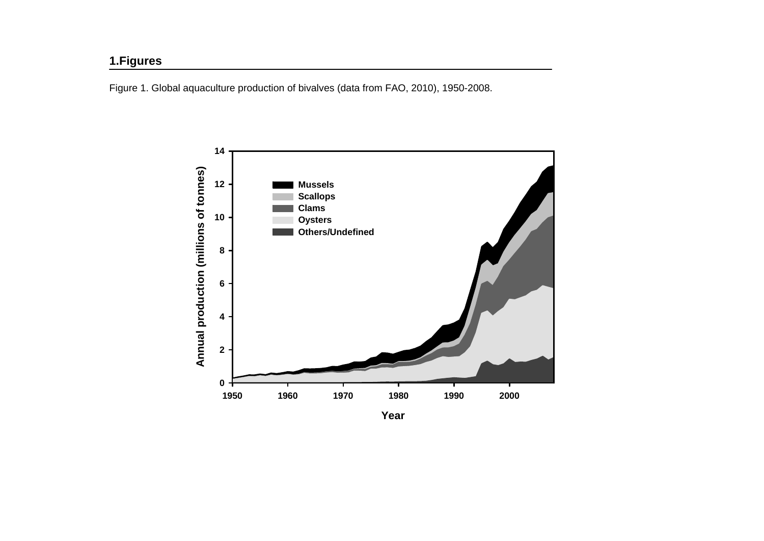# **1.Figures**

Figure 1. Global aquaculture production of bivalves (data from FAO, 2010), 1950-2008.

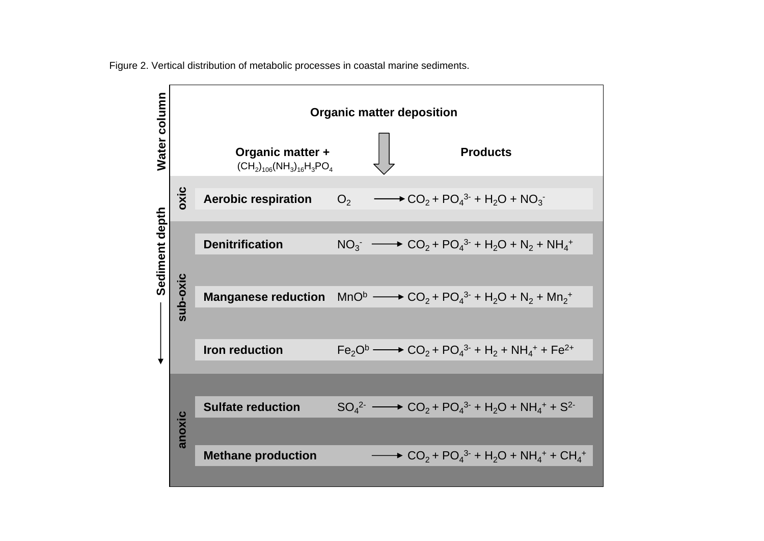

Figure 2. Vertical distribution of metabolic processes in coastal marine sediments.